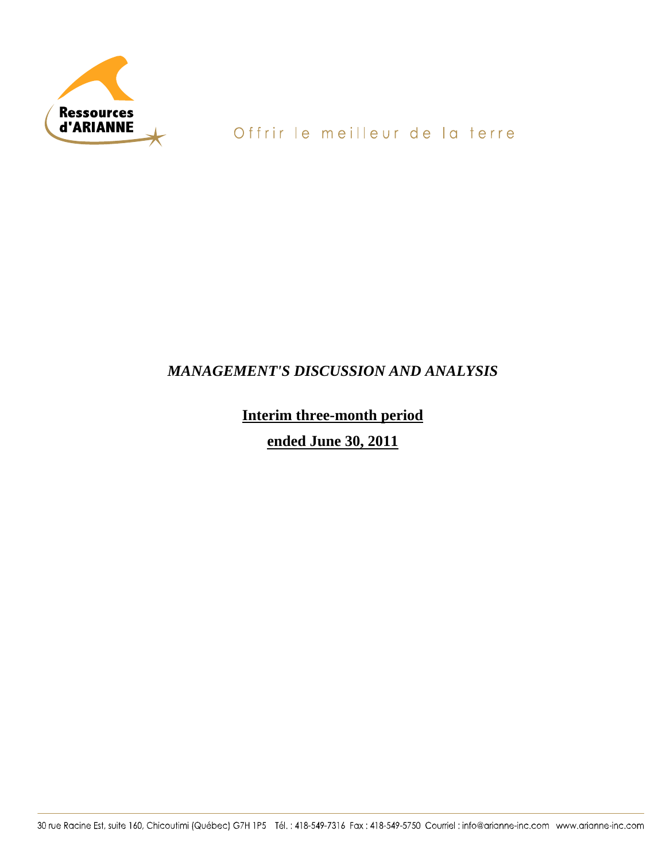

# Offrir le meilleur de la terre

## *MANAGEMENT'S DISCUSSION AND ANALYSIS*

# **Interim three-month period**

# **ended June 30, 2011**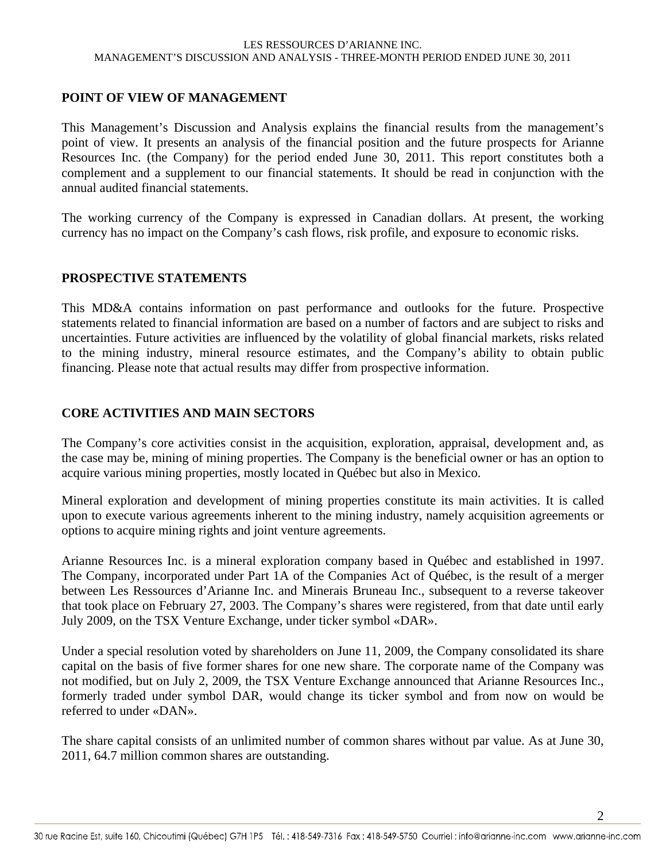### **POINT OF VIEW OF MANAGEMENT**

This Management's Discussion and Analysis explains the financial results from the management's point of view. It presents an analysis of the financial position and the future prospects for Arianne Resources Inc. (the Company) for the period ended June 30, 2011. This report constitutes both a complement and a supplement to our financial statements. It should be read in conjunction with the annual audited financial statements.

The working currency of the Company is expressed in Canadian dollars. At present, the working currency has no impact on the Company's cash flows, risk profile, and exposure to economic risks.

### **PROSPECTIVE STATEMENTS**

This MD&A contains information on past performance and outlooks for the future. Prospective statements related to financial information are based on a number of factors and are subject to risks and uncertainties. Future activities are influenced by the volatility of global financial markets, risks related to the mining industry, mineral resource estimates, and the Company's ability to obtain public financing. Please note that actual results may differ from prospective information.

### **CORE ACTIVITIES AND MAIN SECTORS**

The Company's core activities consist in the acquisition, exploration, appraisal, development and, as the case may be, mining of mining properties. The Company is the beneficial owner or has an option to acquire various mining properties, mostly located in Québec but also in Mexico.

Mineral exploration and development of mining properties constitute its main activities. It is called upon to execute various agreements inherent to the mining industry, namely acquisition agreements or options to acquire mining rights and joint venture agreements.

Arianne Resources Inc. is a mineral exploration company based in Québec and established in 1997. The Company, incorporated under Part 1A of the Companies Act of Québec, is the result of a merger between Les Ressources d'Arianne Inc. and Minerais Bruneau Inc., subsequent to a reverse takeover that took place on February 27, 2003. The Company's shares were registered, from that date until early July 2009, on the TSX Venture Exchange, under ticker symbol «DAR».

Under a special resolution voted by shareholders on June 11, 2009, the Company consolidated its share capital on the basis of five former shares for one new share. The corporate name of the Company was not modified, but on July 2, 2009, the TSX Venture Exchange announced that Arianne Resources Inc., formerly traded under symbol DAR, would change its ticker symbol and from now on would be referred to under «DAN».

The share capital consists of an unlimited number of common shares without par value. As at June 30, 2011, 64.7 million common shares are outstanding.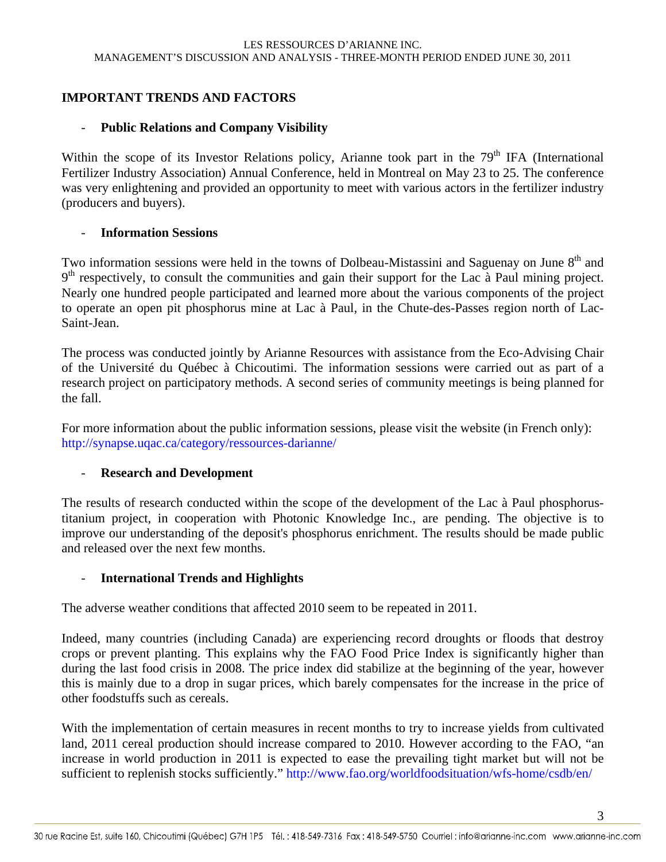### **IMPORTANT TRENDS AND FACTORS**

### - **Public Relations and Company Visibility**

Within the scope of its Investor Relations policy, Arianne took part in the  $79<sup>th</sup>$  IFA (International Fertilizer Industry Association) Annual Conference, held in Montreal on May 23 to 25. The conference was very enlightening and provided an opportunity to meet with various actors in the fertilizer industry (producers and buyers).

### - **Information Sessions**

Two information sessions were held in the towns of Dolbeau-Mistassini and Saguenay on June 8<sup>th</sup> and  $9<sup>th</sup>$  respectively, to consult the communities and gain their support for the Lac à Paul mining project. Nearly one hundred people participated and learned more about the various components of the project to operate an open pit phosphorus mine at Lac à Paul, in the Chute-des-Passes region north of Lac-Saint-Jean.

The process was conducted jointly by Arianne Resources with assistance from the Eco-Advising Chair of the Université du Québec à Chicoutimi. The information sessions were carried out as part of a research project on participatory methods. A second series of community meetings is being planned for the fall.

For more information about the public information sessions, please visit the website (in French only): http://synapse.uqac.ca/category/ressources-darianne/

### - **Research and Development**

The results of research conducted within the scope of the development of the Lac à Paul phosphorustitanium project, in cooperation with Photonic Knowledge Inc., are pending. The objective is to improve our understanding of the deposit's phosphorus enrichment. The results should be made public and released over the next few months.

### - **International Trends and Highlights**

The adverse weather conditions that affected 2010 seem to be repeated in 2011.

Indeed, many countries (including Canada) are experiencing record droughts or floods that destroy crops or prevent planting. This explains why the FAO Food Price Index is significantly higher than during the last food crisis in 2008. The price index did stabilize at the beginning of the year, however this is mainly due to a drop in sugar prices, which barely compensates for the increase in the price of other foodstuffs such as cereals.

With the implementation of certain measures in recent months to try to increase yields from cultivated land, 2011 cereal production should increase compared to 2010. However according to the FAO, "an increase in world production in 2011 is expected to ease the prevailing tight market but will not be sufficient to replenish stocks sufficiently." http://www.fao.org/worldfoodsituation/wfs-home/csdb/en/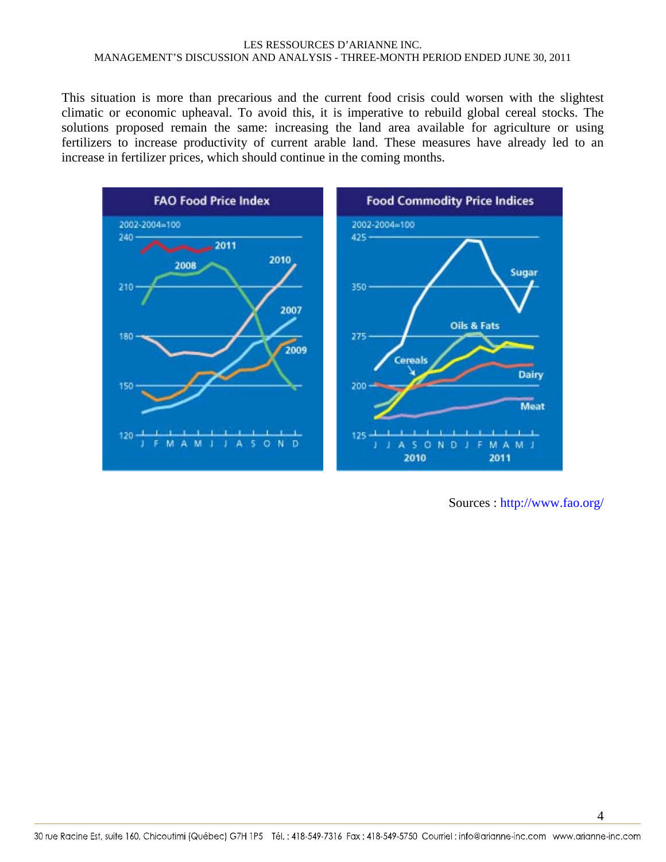This situation is more than precarious and the current food crisis could worsen with the slightest climatic or economic upheaval. To avoid this, it is imperative to rebuild global cereal stocks. The solutions proposed remain the same: increasing the land area available for agriculture or using fertilizers to increase productivity of current arable land. These measures have already led to an increase in fertilizer prices, which should continue in the coming months.



Sources : http://www.fao.org/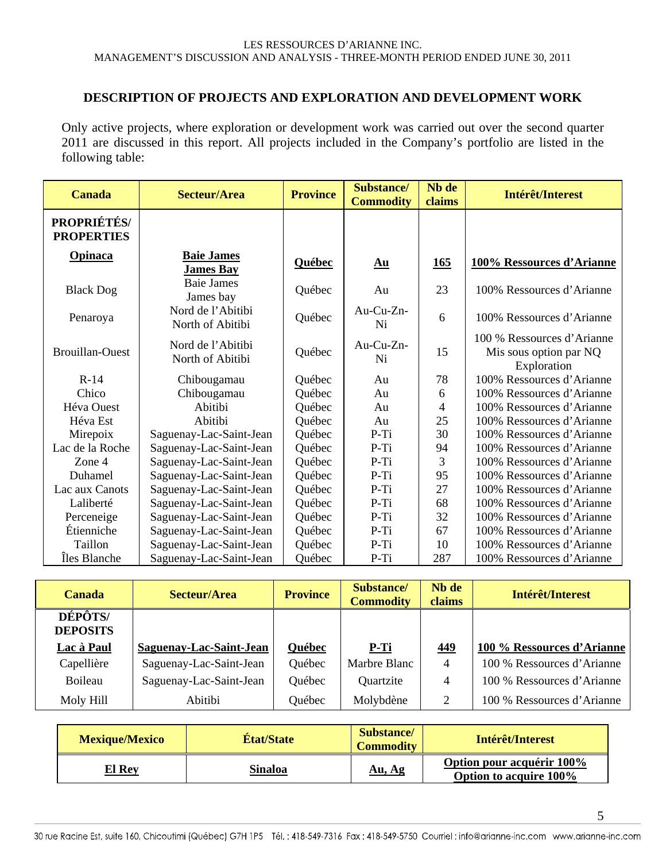### **DESCRIPTION OF PROJECTS AND EXPLORATION AND DEVELOPMENT WORK**

Only active projects, where exploration or development work was carried out over the second quarter 2011 are discussed in this report. All projects included in the Company's portfolio are listed in the following table:

| <b>Canada</b>                    | Secteur/Area                          | <b>Province</b> | Substance/<br><b>Commodity</b>                 | Nb de<br>claims   | Intérêt/Interest                                                    |
|----------------------------------|---------------------------------------|-----------------|------------------------------------------------|-------------------|---------------------------------------------------------------------|
| PROPRIÉTÉS/<br><b>PROPERTIES</b> |                                       |                 |                                                |                   |                                                                     |
| <b>Opinaca</b>                   | <b>Baie James</b><br><b>James Bay</b> | <b>Québec</b>   | $\underline{\mathbf{A}}\underline{\mathbf{u}}$ | $\underline{165}$ | 100% Ressources d'Arianne                                           |
| <b>Black Dog</b>                 | <b>Baie James</b><br>James bay        | Québec          | Au                                             | 23                | 100% Ressources d'Arianne                                           |
| Penaroya                         | Nord de l'Abitibi<br>North of Abitibi | Québec          | Au-Cu-Zn-<br>Ni                                | 6                 | 100% Ressources d'Arianne                                           |
| <b>Brouillan-Ouest</b>           | Nord de l'Abitibi<br>North of Abitibi | Québec          | Au-Cu-Zn-<br>Ni                                | 15                | 100 % Ressources d'Arianne<br>Mis sous option par NQ<br>Exploration |
| $R-14$                           | Chibougamau                           | Québec          | Au                                             | 78                | 100% Ressources d'Arianne                                           |
| Chico                            | Chibougamau                           | Québec          | Au                                             | 6                 | 100% Ressources d'Arianne                                           |
| Héva Ouest                       | Abitibi                               | Québec          | Au                                             | 4                 | 100% Ressources d'Arianne                                           |
| Héva Est                         | Abitibi                               | Québec          | Au                                             | 25                | 100% Ressources d'Arianne                                           |
| Mirepoix                         | Saguenay-Lac-Saint-Jean               | Québec          | $P-Ti$                                         | 30                | 100% Ressources d'Arianne                                           |
| Lac de la Roche                  | Saguenay-Lac-Saint-Jean               | Québec          | $P-Ti$                                         | 94                | 100% Ressources d'Arianne                                           |
| Zone 4                           | Saguenay-Lac-Saint-Jean               | Québec          | P-Ti                                           | 3                 | 100% Ressources d'Arianne                                           |
| Duhamel                          | Saguenay-Lac-Saint-Jean               | Québec          | $P-Ti$                                         | 95                | 100% Ressources d'Arianne                                           |
| Lac aux Canots                   | Saguenay-Lac-Saint-Jean               | Québec          | $P-Ti$                                         | 27                | 100% Ressources d'Arianne                                           |
| Laliberté                        | Saguenay-Lac-Saint-Jean               | Québec          | P-Ti                                           | 68                | 100% Ressources d'Arianne                                           |
| Perceneige                       | Saguenay-Lac-Saint-Jean               | Québec          | $P-Ti$                                         | 32                | 100% Ressources d'Arianne                                           |
| Étienniche                       | Saguenay-Lac-Saint-Jean               | Québec          | P-Ti                                           | 67                | 100% Ressources d'Arianne                                           |
| Taillon                          | Saguenay-Lac-Saint-Jean               | Québec          | P-Ti                                           | 10                | 100% Ressources d'Arianne                                           |
| Îles Blanche                     | Saguenay-Lac-Saint-Jean               | Québec          | P-Ti                                           | 287               | 100% Ressources d'Arianne                                           |

| <b>Canada</b>                     | Secteur/Area            | <b>Province</b> | Substance/<br><b>Commodity</b> | Nh de<br>claims | Intérêt/Interest           |
|-----------------------------------|-------------------------|-----------------|--------------------------------|-----------------|----------------------------|
| <b>DÉPÔTS/</b><br><b>DEPOSITS</b> |                         |                 |                                |                 |                            |
| Lac à Paul                        | Saguenay-Lac-Saint-Jean | Québec          | P-Ti                           | <u>449</u>      | 100 % Ressources d'Arianne |
| Capellière                        | Saguenay-Lac-Saint-Jean | Québec          | Marbre Blanc                   | $\overline{4}$  | 100 % Ressources d'Arianne |
| Boileau                           | Saguenay-Lac-Saint-Jean | Québec          | Quartzite                      | 4               | 100 % Ressources d'Arianne |
| Moly Hill                         | Abitibi                 | Québec          | Molybdène                      | $\overline{c}$  | 100 % Ressources d'Arianne |

| <b>Mexique/Mexico</b> | <b>État/State</b> | <b>Substance</b><br><b>Commodity</b> | Intérêt/Interest                                           |
|-----------------------|-------------------|--------------------------------------|------------------------------------------------------------|
| <b>El Rey</b>         | <b>Sinaloa</b>    | <u>Au, Ag</u>                        | <b>Option pour acquérir 100%</b><br>Option to acquire 100% |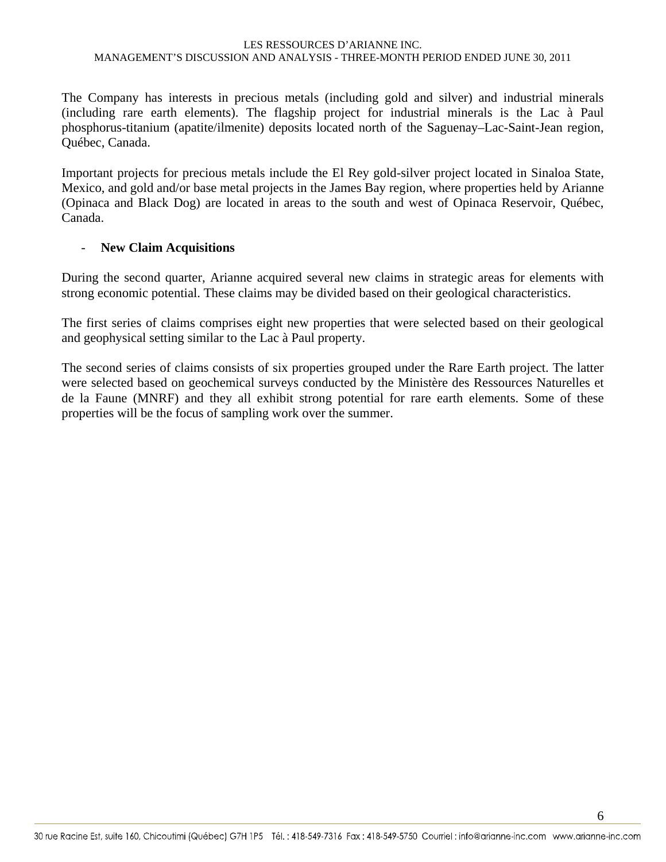The Company has interests in precious metals (including gold and silver) and industrial minerals (including rare earth elements). The flagship project for industrial minerals is the Lac à Paul phosphorus-titanium (apatite/ilmenite) deposits located north of the Saguenay–Lac-Saint-Jean region, Québec, Canada.

Important projects for precious metals include the El Rey gold-silver project located in Sinaloa State, Mexico, and gold and/or base metal projects in the James Bay region, where properties held by Arianne (Opinaca and Black Dog) are located in areas to the south and west of Opinaca Reservoir, Québec, Canada.

### - **New Claim Acquisitions**

During the second quarter, Arianne acquired several new claims in strategic areas for elements with strong economic potential. These claims may be divided based on their geological characteristics.

The first series of claims comprises eight new properties that were selected based on their geological and geophysical setting similar to the Lac à Paul property.

The second series of claims consists of six properties grouped under the Rare Earth project. The latter were selected based on geochemical surveys conducted by the Ministère des Ressources Naturelles et de la Faune (MNRF) and they all exhibit strong potential for rare earth elements. Some of these properties will be the focus of sampling work over the summer.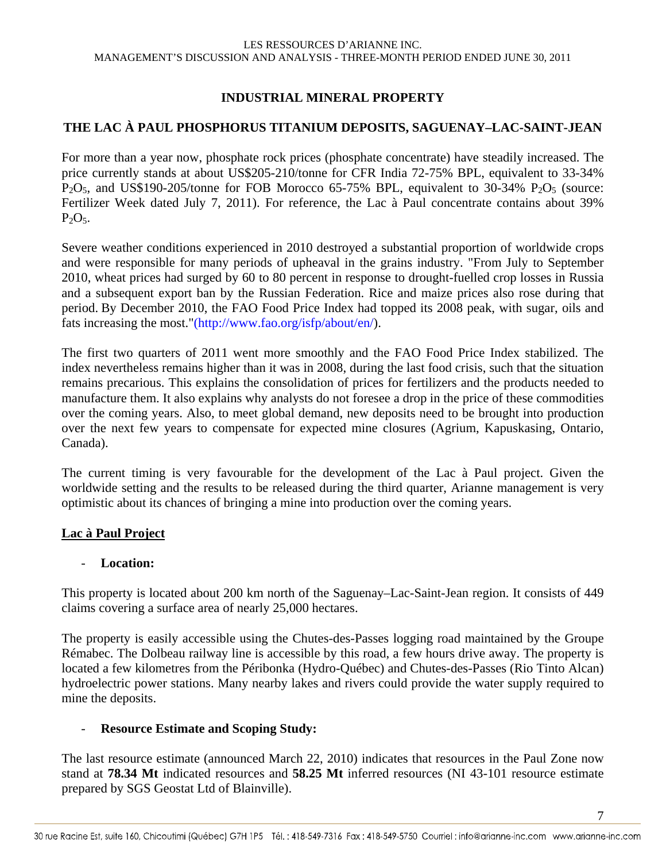### **INDUSTRIAL MINERAL PROPERTY**

### **THE LAC À PAUL PHOSPHORUS TITANIUM DEPOSITS, SAGUENAY–LAC-SAINT-JEAN**

For more than a year now, phosphate rock prices (phosphate concentrate) have steadily increased. The price currently stands at about US\$205-210/tonne for CFR India 72-75% BPL, equivalent to 33-34%  $P_2O_5$ , and US\$190-205/tonne for FOB Morocco 65-75% BPL, equivalent to 30-34%  $P_2O_5$  (source: Fertilizer Week dated July 7, 2011). For reference, the Lac à Paul concentrate contains about 39%  $P_2O_5$ .

Severe weather conditions experienced in 2010 destroyed a substantial proportion of worldwide crops and were responsible for many periods of upheaval in the grains industry. "From July to September 2010, wheat prices had surged by 60 to 80 percent in response to drought-fuelled crop losses in Russia and a subsequent export ban by the Russian Federation. Rice and maize prices also rose during that period. By December 2010, the FAO Food Price Index had topped its 2008 peak, with sugar, oils and fats increasing the most."(http://www.fao.org/isfp/about/en/).

The first two quarters of 2011 went more smoothly and the FAO Food Price Index stabilized. The index nevertheless remains higher than it was in 2008, during the last food crisis, such that the situation remains precarious. This explains the consolidation of prices for fertilizers and the products needed to manufacture them. It also explains why analysts do not foresee a drop in the price of these commodities over the coming years. Also, to meet global demand, new deposits need to be brought into production over the next few years to compensate for expected mine closures (Agrium, Kapuskasing, Ontario, Canada).

The current timing is very favourable for the development of the Lac à Paul project. Given the worldwide setting and the results to be released during the third quarter, Arianne management is very optimistic about its chances of bringing a mine into production over the coming years.

### **Lac à Paul Project**

### - **Location:**

This property is located about 200 km north of the Saguenay–Lac-Saint-Jean region. It consists of 449 claims covering a surface area of nearly 25,000 hectares.

The property is easily accessible using the Chutes-des-Passes logging road maintained by the Groupe Rémabec. The Dolbeau railway line is accessible by this road, a few hours drive away. The property is located a few kilometres from the Péribonka (Hydro-Québec) and Chutes-des-Passes (Rio Tinto Alcan) hydroelectric power stations. Many nearby lakes and rivers could provide the water supply required to mine the deposits.

### - **Resource Estimate and Scoping Study:**

The last resource estimate (announced March 22, 2010) indicates that resources in the Paul Zone now stand at **78.34 Mt** indicated resources and **58.25 Mt** inferred resources (NI 43-101 resource estimate prepared by SGS Geostat Ltd of Blainville).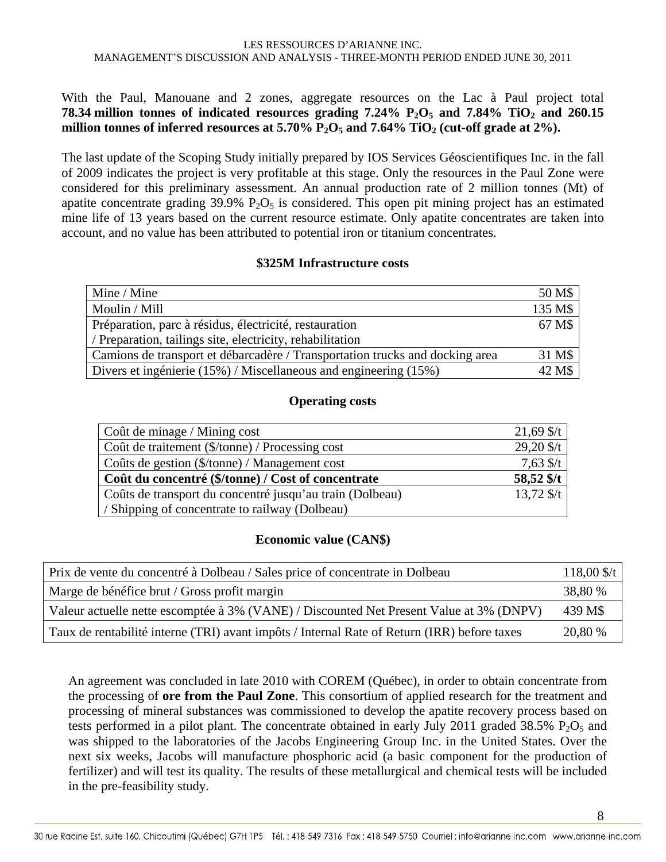### With the Paul, Manouane and 2 zones, aggregate resources on the Lac à Paul project total **78.34 million tonnes of indicated resources grading 7.24% P2O5 and 7.84% TiO2 and 260.15**  million tonnes of inferred resources at  $5.70\%$   $P_2O_5$  and  $7.64\%$  TiO<sub>2</sub> (cut-off grade at  $2\%$ ).

The last update of the Scoping Study initially prepared by IOS Services Géoscientifiques Inc. in the fall of 2009 indicates the project is very profitable at this stage. Only the resources in the Paul Zone were considered for this preliminary assessment. An annual production rate of 2 million tonnes (Mt) of apatite concentrate grading  $39.9\%$  P<sub>2</sub>O<sub>5</sub> is considered. This open pit mining project has an estimated mine life of 13 years based on the current resource estimate. Only apatite concentrates are taken into account, and no value has been attributed to potential iron or titanium concentrates.

#### **\$325M Infrastructure costs**

| Mine / Mine                                                                  | 50 M\$  |
|------------------------------------------------------------------------------|---------|
| Moulin / Mill                                                                | 135 M\$ |
| Préparation, parc à résidus, électricité, restauration                       | 67 M\$  |
| / Preparation, tailings site, electricity, rehabilitation                    |         |
| Camions de transport et débarcadère / Transportation trucks and docking area | 31 M\$  |
| Divers et ingénierie (15%) / Miscellaneous and engineering (15%)             | 42 M\$  |

#### **Operating costs**

| Coût de minage / Mining cost                             | $21,69$ \$/t |
|----------------------------------------------------------|--------------|
| Coût de traitement (\$/tonne) / Processing cost          | $29,20$ \$/t |
| Coûts de gestion (\$/tonne) / Management cost            | $7,63$ \$/t  |
| Coût du concentré (\$/tonne) / Cost of concentrate       | 58,52 \$/t   |
| Coûts de transport du concentré jusqu'au train (Dolbeau) | $13,72$ \$/t |
| / Shipping of concentrate to railway (Dolbeau)           |              |

### **Economic value (CAN\$)**

| Prix de vente du concentré à Dolbeau / Sales price of concentrate in Dolbeau                | $118,00$ \$/t |
|---------------------------------------------------------------------------------------------|---------------|
| Marge de bénéfice brut / Gross profit margin                                                | 38,80 %       |
| Valeur actuelle nette escomptée à 3% (VANE) / Discounted Net Present Value at 3% (DNPV)     | 439 M\$       |
| Taux de rentabilité interne (TRI) avant impôts / Internal Rate of Return (IRR) before taxes | 20,80 %       |

An agreement was concluded in late 2010 with COREM (Québec), in order to obtain concentrate from the processing of **ore from the Paul Zone**. This consortium of applied research for the treatment and processing of mineral substances was commissioned to develop the apatite recovery process based on tests performed in a pilot plant. The concentrate obtained in early July 2011 graded 38.5%  $P_2O_5$  and was shipped to the laboratories of the Jacobs Engineering Group Inc. in the United States. Over the next six weeks, Jacobs will manufacture phosphoric acid (a basic component for the production of fertilizer) and will test its quality. The results of these metallurgical and chemical tests will be included in the pre-feasibility study.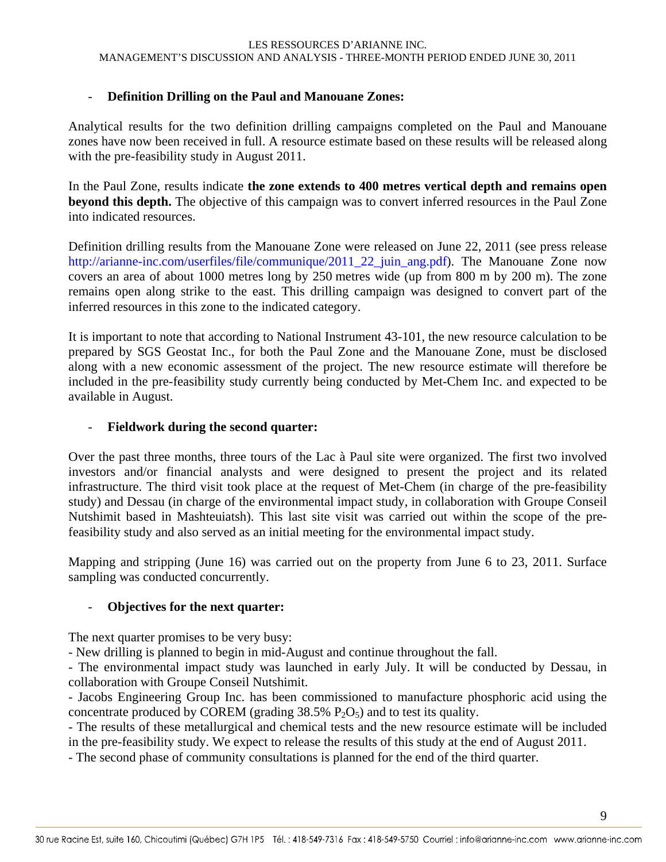### - **Definition Drilling on the Paul and Manouane Zones:**

Analytical results for the two definition drilling campaigns completed on the Paul and Manouane zones have now been received in full. A resource estimate based on these results will be released along with the pre-feasibility study in August 2011.

In the Paul Zone, results indicate **the zone extends to 400 metres vertical depth and remains open beyond this depth.** The objective of this campaign was to convert inferred resources in the Paul Zone into indicated resources.

Definition drilling results from the Manouane Zone were released on June 22, 2011 (see press release http://arianne-inc.com/userfiles/file/communique/2011\_22\_juin\_ang.pdf). The Manouane Zone now covers an area of about 1000 metres long by 250 metres wide (up from 800 m by 200 m). The zone remains open along strike to the east. This drilling campaign was designed to convert part of the inferred resources in this zone to the indicated category.

It is important to note that according to National Instrument 43-101, the new resource calculation to be prepared by SGS Geostat Inc., for both the Paul Zone and the Manouane Zone, must be disclosed along with a new economic assessment of the project. The new resource estimate will therefore be included in the pre-feasibility study currently being conducted by Met-Chem Inc. and expected to be available in August.

### - **Fieldwork during the second quarter:**

Over the past three months, three tours of the Lac à Paul site were organized. The first two involved investors and/or financial analysts and were designed to present the project and its related infrastructure. The third visit took place at the request of Met-Chem (in charge of the pre-feasibility study) and Dessau (in charge of the environmental impact study, in collaboration with Groupe Conseil Nutshimit based in Mashteuiatsh). This last site visit was carried out within the scope of the prefeasibility study and also served as an initial meeting for the environmental impact study.

Mapping and stripping (June 16) was carried out on the property from June 6 to 23, 2011. Surface sampling was conducted concurrently.

### - **Objectives for the next quarter:**

The next quarter promises to be very busy:

- New drilling is planned to begin in mid-August and continue throughout the fall.

- The environmental impact study was launched in early July. It will be conducted by Dessau, in collaboration with Groupe Conseil Nutshimit.

- Jacobs Engineering Group Inc. has been commissioned to manufacture phosphoric acid using the concentrate produced by COREM (grading  $38.5\%$  P<sub>2</sub>O<sub>5</sub>) and to test its quality.

- The results of these metallurgical and chemical tests and the new resource estimate will be included in the pre-feasibility study. We expect to release the results of this study at the end of August 2011.

- The second phase of community consultations is planned for the end of the third quarter.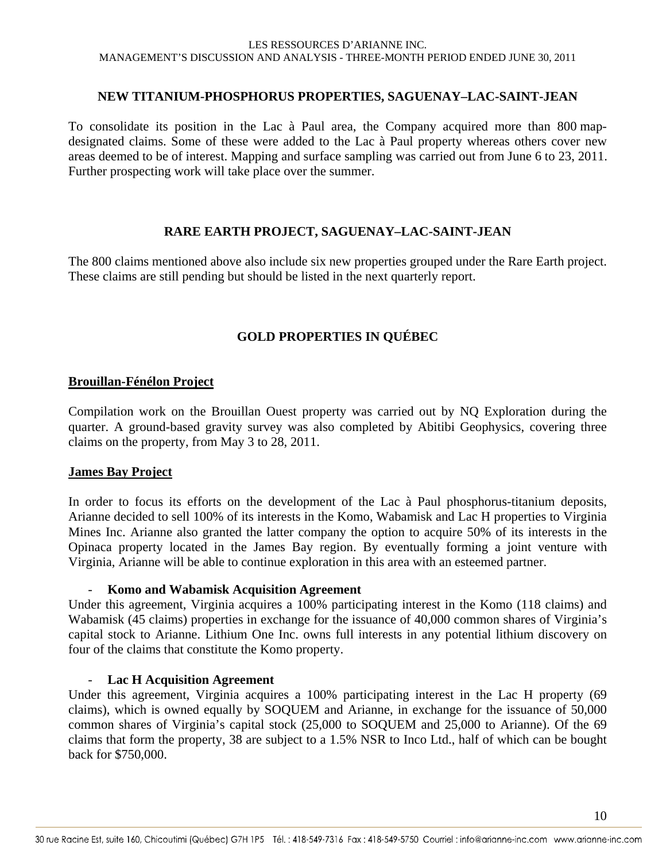#### **NEW TITANIUM-PHOSPHORUS PROPERTIES, SAGUENAY–LAC-SAINT-JEAN**

To consolidate its position in the Lac à Paul area, the Company acquired more than 800 mapdesignated claims. Some of these were added to the Lac à Paul property whereas others cover new areas deemed to be of interest. Mapping and surface sampling was carried out from June 6 to 23, 2011. Further prospecting work will take place over the summer.

### **RARE EARTH PROJECT, SAGUENAY–LAC-SAINT-JEAN**

The 800 claims mentioned above also include six new properties grouped under the Rare Earth project. These claims are still pending but should be listed in the next quarterly report.

### **GOLD PROPERTIES IN QUÉBEC**

#### **Brouillan-Fénélon Project**

Compilation work on the Brouillan Ouest property was carried out by NQ Exploration during the quarter. A ground-based gravity survey was also completed by Abitibi Geophysics, covering three claims on the property, from May 3 to 28, 2011.

#### **James Bay Project**

In order to focus its efforts on the development of the Lac à Paul phosphorus-titanium deposits, Arianne decided to sell 100% of its interests in the Komo, Wabamisk and Lac H properties to Virginia Mines Inc. Arianne also granted the latter company the option to acquire 50% of its interests in the Opinaca property located in the James Bay region. By eventually forming a joint venture with Virginia, Arianne will be able to continue exploration in this area with an esteemed partner.

#### - **Komo and Wabamisk Acquisition Agreement**

Under this agreement, Virginia acquires a 100% participating interest in the Komo (118 claims) and Wabamisk (45 claims) properties in exchange for the issuance of 40,000 common shares of Virginia's capital stock to Arianne. Lithium One Inc. owns full interests in any potential lithium discovery on four of the claims that constitute the Komo property.

#### - **Lac H Acquisition Agreement**

Under this agreement, Virginia acquires a 100% participating interest in the Lac H property (69 claims), which is owned equally by SOQUEM and Arianne, in exchange for the issuance of 50,000 common shares of Virginia's capital stock (25,000 to SOQUEM and 25,000 to Arianne). Of the 69 claims that form the property, 38 are subject to a 1.5% NSR to Inco Ltd., half of which can be bought back for \$750,000.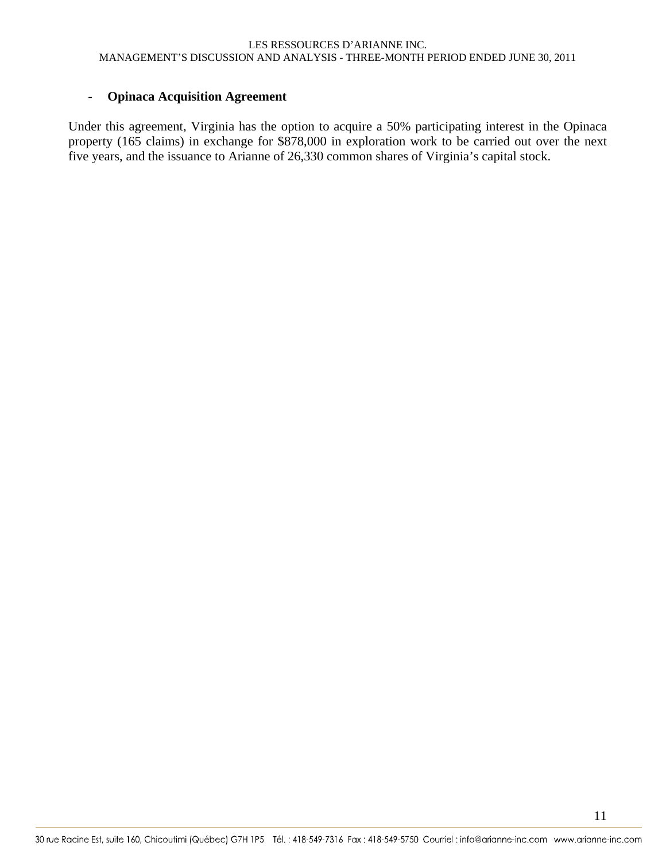#### - **Opinaca Acquisition Agreement**

Under this agreement, Virginia has the option to acquire a 50% participating interest in the Opinaca property (165 claims) in exchange for \$878,000 in exploration work to be carried out over the next five years, and the issuance to Arianne of 26,330 common shares of Virginia's capital stock.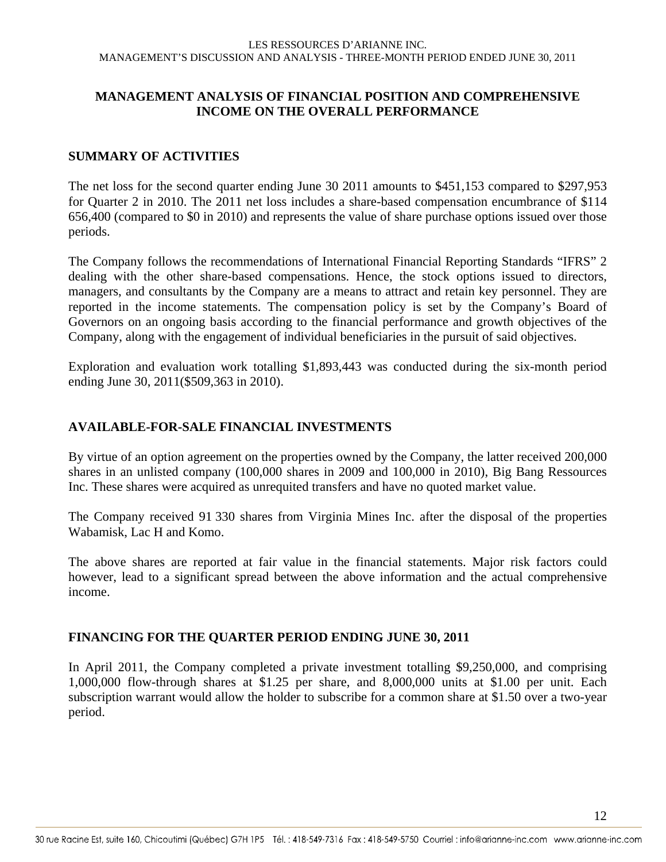### **MANAGEMENT ANALYSIS OF FINANCIAL POSITION AND COMPREHENSIVE INCOME ON THE OVERALL PERFORMANCE**

### **SUMMARY OF ACTIVITIES**

The net loss for the second quarter ending June 30 2011 amounts to \$451,153 compared to \$297,953 for Quarter 2 in 2010. The 2011 net loss includes a share-based compensation encumbrance of \$114 656,400 (compared to \$0 in 2010) and represents the value of share purchase options issued over those periods.

The Company follows the recommendations of International Financial Reporting Standards "IFRS" 2 dealing with the other share-based compensations. Hence, the stock options issued to directors, managers, and consultants by the Company are a means to attract and retain key personnel. They are reported in the income statements. The compensation policy is set by the Company's Board of Governors on an ongoing basis according to the financial performance and growth objectives of the Company, along with the engagement of individual beneficiaries in the pursuit of said objectives.

Exploration and evaluation work totalling \$1,893,443 was conducted during the six-month period ending June 30, 2011(\$509,363 in 2010).

### **AVAILABLE-FOR-SALE FINANCIAL INVESTMENTS**

By virtue of an option agreement on the properties owned by the Company, the latter received 200,000 shares in an unlisted company (100,000 shares in 2009 and 100,000 in 2010), Big Bang Ressources Inc. These shares were acquired as unrequited transfers and have no quoted market value.

The Company received 91 330 shares from Virginia Mines Inc. after the disposal of the properties Wabamisk, Lac H and Komo.

The above shares are reported at fair value in the financial statements. Major risk factors could however, lead to a significant spread between the above information and the actual comprehensive income.

### **FINANCING FOR THE QUARTER PERIOD ENDING JUNE 30, 2011**

In April 2011, the Company completed a private investment totalling \$9,250,000, and comprising 1,000,000 flow-through shares at \$1.25 per share, and 8,000,000 units at \$1.00 per unit. Each subscription warrant would allow the holder to subscribe for a common share at \$1.50 over a two-year period.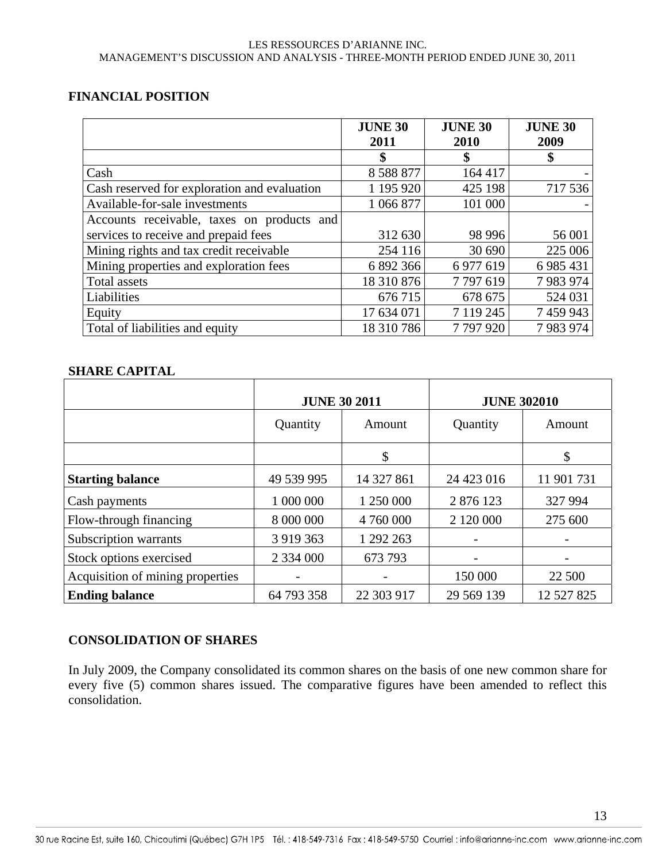### **FINANCIAL POSITION**

|                                              | <b>JUNE 30</b> | <b>JUNE 30</b> | <b>JUNE 30</b> |
|----------------------------------------------|----------------|----------------|----------------|
|                                              | 2011           | 2010           | 2009           |
|                                              | \$             | \$             | \$             |
| Cash                                         | 8 5 8 8 8 7 7  | 164 417        |                |
| Cash reserved for exploration and evaluation | 1 195 920      | 425 198        | 717 536        |
| Available-for-sale investments               | 1 066 877      | 101 000        |                |
| Accounts receivable, taxes on products and   |                |                |                |
| services to receive and prepaid fees         | 312 630        | 98 996         | 56 001         |
| Mining rights and tax credit receivable      | 254 116        | 30 690         | 225 006        |
| Mining properties and exploration fees       | 6 892 366      | 6 977 619      | 6 9 8 5 4 3 1  |
| <b>Total assets</b>                          | 18 310 876     | 7797619        | 7983974        |
| Liabilities                                  | 676 715        | 678 675        | 524 031        |
| Equity                                       | 17 634 071     | 7 119 245      | 7 459 943      |
| Total of liabilities and equity              | 18 310 786     | 7797920        | 7983974        |

### **SHARE CAPITAL**

|                                  | <b>JUNE 30 2011</b> |            | <b>JUNE 302010</b> |            |
|----------------------------------|---------------------|------------|--------------------|------------|
|                                  | Quantity<br>Amount  |            | Quantity           | Amount     |
|                                  |                     | \$         |                    | \$         |
| <b>Starting balance</b>          | 49 539 995          | 14 327 861 | 24 423 016         | 11 901 731 |
| Cash payments                    | 1 000 000           | 1 250 000  | 2 876 123          | 327 994    |
| Flow-through financing           | 8 000 000           | 4 760 000  | 2 120 000          | 275 600    |
| Subscription warrants            | 3 9 19 3 6 3        | 1 292 263  |                    |            |
| Stock options exercised          | 2 3 3 4 0 0 0       | 673 793    |                    |            |
| Acquisition of mining properties |                     |            | 150 000            | 22 500     |
| <b>Ending balance</b>            | 64 793 358          | 22 303 917 | 29 569 139         | 12 527 825 |

### **CONSOLIDATION OF SHARES**

In July 2009, the Company consolidated its common shares on the basis of one new common share for every five (5) common shares issued. The comparative figures have been amended to reflect this consolidation.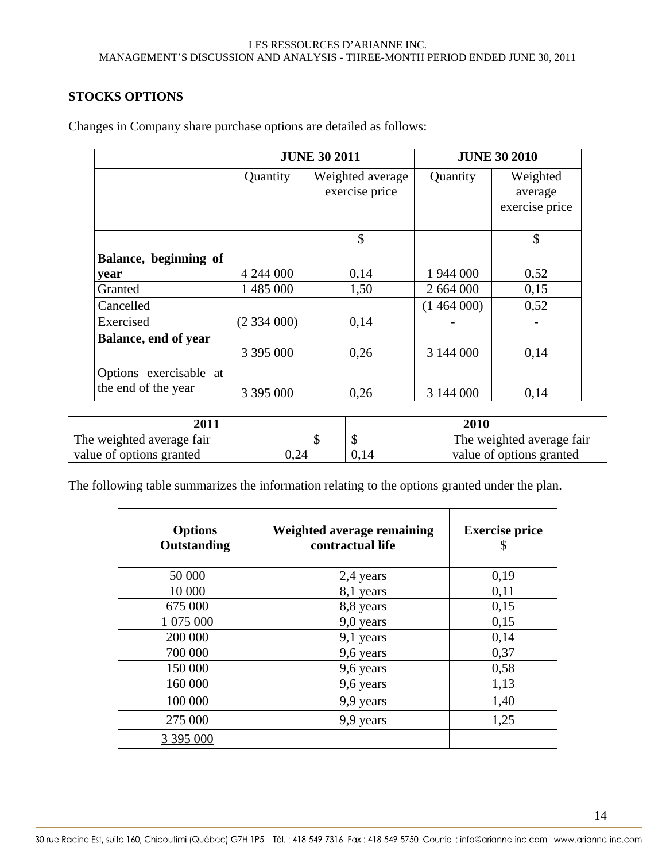### **STOCKS OPTIONS**

|                                               |           | <b>JUNE 30 2011</b>                |           | <b>JUNE 30 2010</b>                   |
|-----------------------------------------------|-----------|------------------------------------|-----------|---------------------------------------|
|                                               | Quantity  | Weighted average<br>exercise price | Quantity  | Weighted<br>average<br>exercise price |
|                                               |           | \$                                 |           | \$                                    |
| Balance, beginning of                         |           |                                    |           |                                       |
| year                                          | 4 244 000 | 0,14                               | 1 944 000 | 0,52                                  |
| Granted                                       | 1 485 000 | 1,50                               | 2 664 000 | 0,15                                  |
| Cancelled                                     |           |                                    | (1464000) | 0,52                                  |
| Exercised                                     | (2334000) | 0,14                               |           |                                       |
| <b>Balance, end of year</b>                   |           |                                    |           |                                       |
|                                               | 3 395 000 | 0,26                               | 3 144 000 | 0,14                                  |
| Options exercisable at<br>the end of the year | 3 395 000 | 0,26                               | 3 144 000 | 0,14                                  |

Changes in Company share purchase options are detailed as follows:

| 2011                      |      |      | 2010                      |
|---------------------------|------|------|---------------------------|
| The weighted average fair |      |      | The weighted average fair |
| value of options granted  | 0.24 | 0,14 | value of options granted  |

The following table summarizes the information relating to the options granted under the plan.

| <b>Options</b><br>Outstanding | Weighted average remaining<br>contractual life | <b>Exercise price</b><br>\$ |
|-------------------------------|------------------------------------------------|-----------------------------|
| 50 000                        | 2,4 years                                      | 0,19                        |
| 10 000                        | 8,1 years                                      | 0,11                        |
| 675 000                       | 8,8 years                                      | 0,15                        |
| 1 075 000                     | 9,0 years                                      | 0,15                        |
| 200 000                       | 9,1 years                                      | 0,14                        |
| 700 000                       | 9,6 years                                      | 0,37                        |
| 150 000                       | 9,6 years                                      | 0,58                        |
| 160 000                       | 9,6 years                                      | 1,13                        |
| 100 000                       | 9,9 years                                      | 1,40                        |
| 275 000                       | 9,9 years                                      | 1,25                        |
| 3 395 000                     |                                                |                             |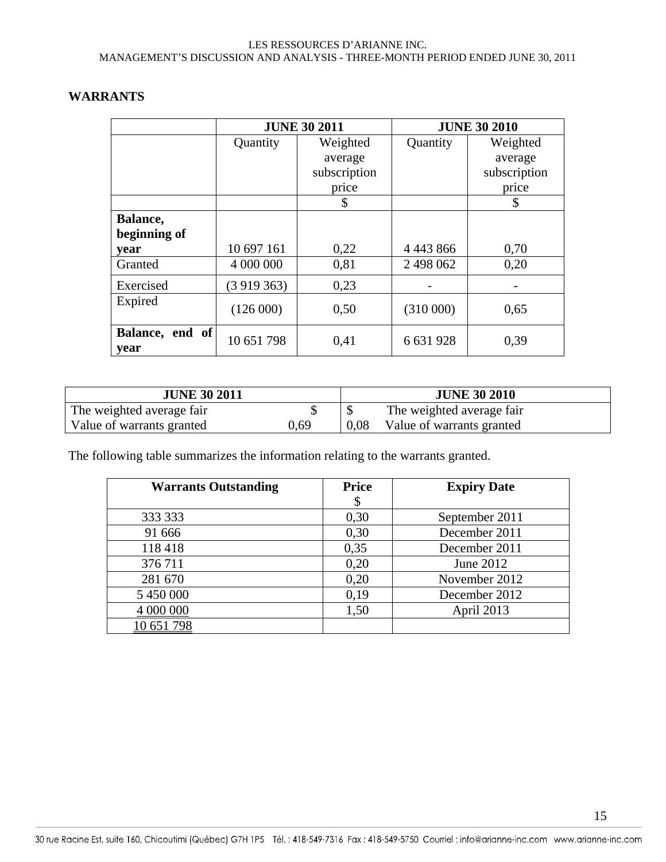|                         |            | <b>JUNE 30 2011</b> |               | <b>JUNE 30 2010</b> |
|-------------------------|------------|---------------------|---------------|---------------------|
|                         | Quantity   | Weighted            | Quantity      | Weighted            |
|                         |            | average             |               | average             |
|                         |            | subscription        |               | subscription        |
|                         |            | price               |               | price               |
|                         |            | \$                  |               | \$                  |
| Balance,                |            |                     |               |                     |
| beginning of            |            |                     |               |                     |
| year                    | 10 697 161 | 0,22                | 4 4 4 3 8 6 6 | 0,70                |
| Granted                 | 4 000 000  | 0,81                | 2 498 062     | 0,20                |
| Exercised               | (3919363)  | 0,23                |               |                     |
| Expired                 | (126000)   | 0,50                | (310000)      | 0,65                |
| Balance, end of<br>year | 10 651 798 | 0,41                | 6 631 928     | 0,39                |

### **WARRANTS**

| <b>JUNE 30 2011</b>       |      |      | <b>JUNE 30 2010</b>       |
|---------------------------|------|------|---------------------------|
| The weighted average fair |      |      | The weighted average fair |
| Value of warrants granted | 0.69 | 0.08 | Value of warrants granted |

The following table summarizes the information relating to the warrants granted.

| <b>Warrants Outstanding</b> | <b>Price</b> | <b>Expiry Date</b> |
|-----------------------------|--------------|--------------------|
|                             | \$           |                    |
| 333 333                     | 0,30         | September 2011     |
| 91 666                      | 0,30         | December 2011      |
| 118418                      | 0,35         | December 2011      |
| 376711                      | 0,20         | June 2012          |
| 281 670                     | 0,20         | November 2012      |
| 5 450 000                   | 0,19         | December 2012      |
| 4 000 000                   | 1,50         | April 2013         |
| 10 651 798                  |              |                    |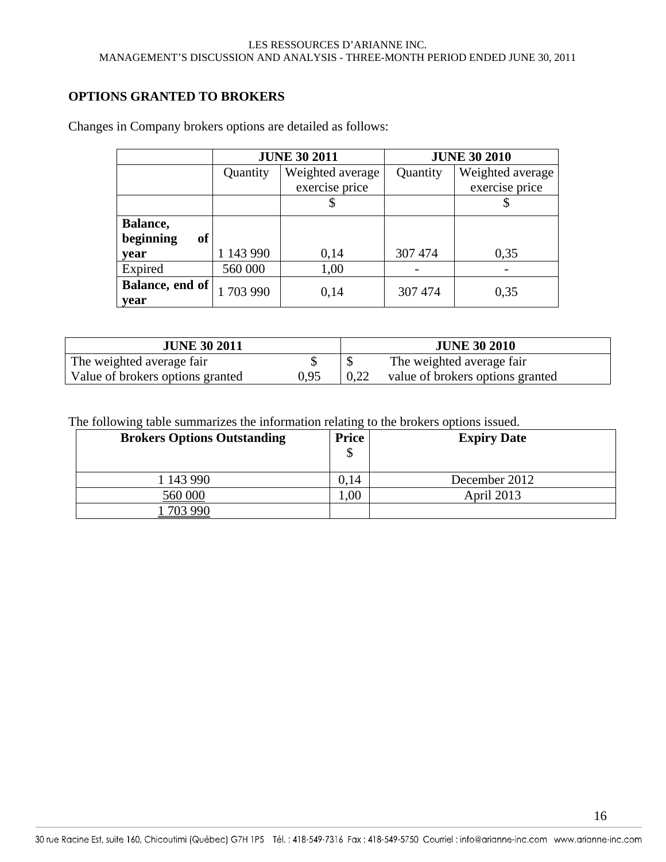### **OPTIONS GRANTED TO BROKERS**

|                        |           | <b>JUNE 30 2011</b> | <b>JUNE 30 2010</b> |                  |  |
|------------------------|-----------|---------------------|---------------------|------------------|--|
|                        | Quantity  | Weighted average    | Quantity            | Weighted average |  |
|                        |           | exercise price      |                     | exercise price   |  |
|                        |           |                     |                     |                  |  |
| Balance,               |           |                     |                     |                  |  |
| beginning<br><b>of</b> |           |                     |                     |                  |  |
| year                   | 1 143 990 | 0.14                | 307 474             | 0,35             |  |
| Expired                | 560 000   | 1,00                |                     |                  |  |
| Balance, end of        | 1703 990  | 0,14                | 307 474             | 0,35             |  |
| year                   |           |                     |                     |                  |  |

Changes in Company brokers options are detailed as follows:

| <b>JUNE 30 2011</b>              |      |      | <b>JUNE 30 2010</b>              |
|----------------------------------|------|------|----------------------------------|
| The weighted average fair        |      |      | The weighted average fair        |
| Value of brokers options granted | 0,95 | 0,22 | value of brokers options granted |

The following table summarizes the information relating to the brokers options issued.

| <b>Brokers Options Outstanding</b> | <b>Price</b><br>\$ | <b>Expiry Date</b> |
|------------------------------------|--------------------|--------------------|
| 1 143 990                          | 0,14               | December 2012      |
| 560 000                            | 00,                | April 2013         |
| 703 990                            |                    |                    |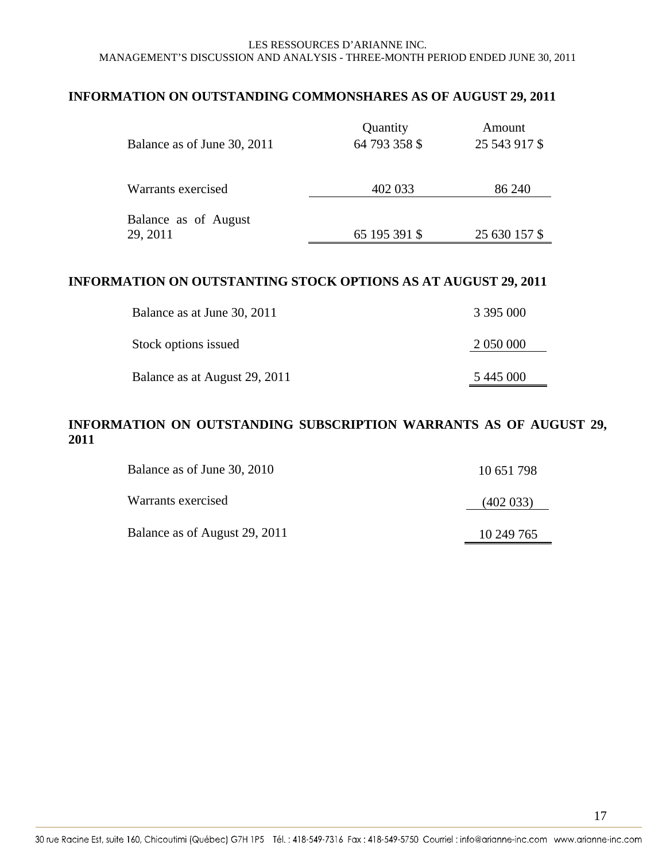### **INFORMATION ON OUTSTANDING COMMONSHARES AS OF AUGUST 29, 2011**

| Balance as of June 30, 2011      | Quantity<br>64 793 358 \$ | Amount<br>25 543 917 \$ |  |
|----------------------------------|---------------------------|-------------------------|--|
| Warrants exercised               | 402 033                   | 86 240                  |  |
| Balance as of August<br>29, 2011 | 65 195 391 \$             | 25 630 157 \$           |  |

### **INFORMATION ON OUTSTANTING STOCK OPTIONS AS AT AUGUST 29, 2011**

| Balance as at June 30, 2011   | 3 395 000 |
|-------------------------------|-----------|
| Stock options issued          | 2 050 000 |
| Balance as at August 29, 2011 | 5 445 000 |

### **INFORMATION ON OUTSTANDING SUBSCRIPTION WARRANTS AS OF AUGUST 29, 2011**

| Balance as of June 30, 2010   | 10 651 798 |
|-------------------------------|------------|
| Warrants exercised            | (402 033)  |
| Balance as of August 29, 2011 | 10 249 765 |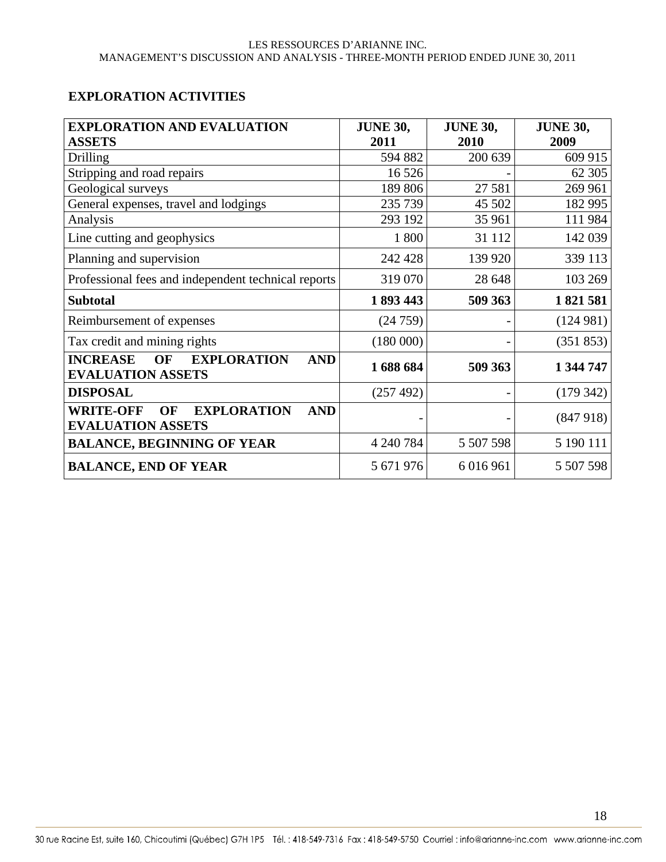### **EXPLORATION ACTIVITIES**

| <b>EXPLORATION AND EVALUATION</b>                                                            | <b>JUNE 30,</b> | <b>JUNE 30,</b> | <b>JUNE 30,</b> |
|----------------------------------------------------------------------------------------------|-----------------|-----------------|-----------------|
| <b>ASSETS</b>                                                                                | 2011            | 2010            | 2009            |
| Drilling                                                                                     | 594 882         | 200 639         | 609 915         |
| Stripping and road repairs                                                                   | 16 5 26         |                 | 62 30 5         |
| Geological surveys                                                                           | 189 806         | 27 581          | 269 961         |
| General expenses, travel and lodgings                                                        | 235 739         | 45 502          | 182 995         |
| Analysis                                                                                     | 293 192         | 35 961          | 111984          |
| Line cutting and geophysics                                                                  | 1800            | 31 112          | 142 039         |
| Planning and supervision                                                                     | 242 428         | 139 920         | 339 113         |
| Professional fees and independent technical reports                                          | 319 070         | 28 648          | 103 269         |
| <b>Subtotal</b>                                                                              | 1893443         | 509 363         | 1821581         |
| Reimbursement of expenses                                                                    | (24759)         |                 | (124981)        |
| Tax credit and mining rights                                                                 | (180000)        |                 | (351 853)       |
| <b>EXPLORATION</b><br><b>INCREASE</b><br><b>OF</b><br><b>AND</b><br><b>EVALUATION ASSETS</b> | 1688684         | 509 363         | 1 344 747       |
| <b>DISPOSAL</b>                                                                              | (257 492)       |                 | (179 342)       |
| <b>WRITE-OFF</b><br><b>EXPLORATION</b><br>OF<br><b>AND</b><br><b>EVALUATION ASSETS</b>       |                 |                 | (847918)        |
| <b>BALANCE, BEGINNING OF YEAR</b>                                                            | 4 240 784       | 5 507 598       | 5 190 111       |
| <b>BALANCE, END OF YEAR</b>                                                                  | 5 671 976       | 6 016 961       | 5 507 598       |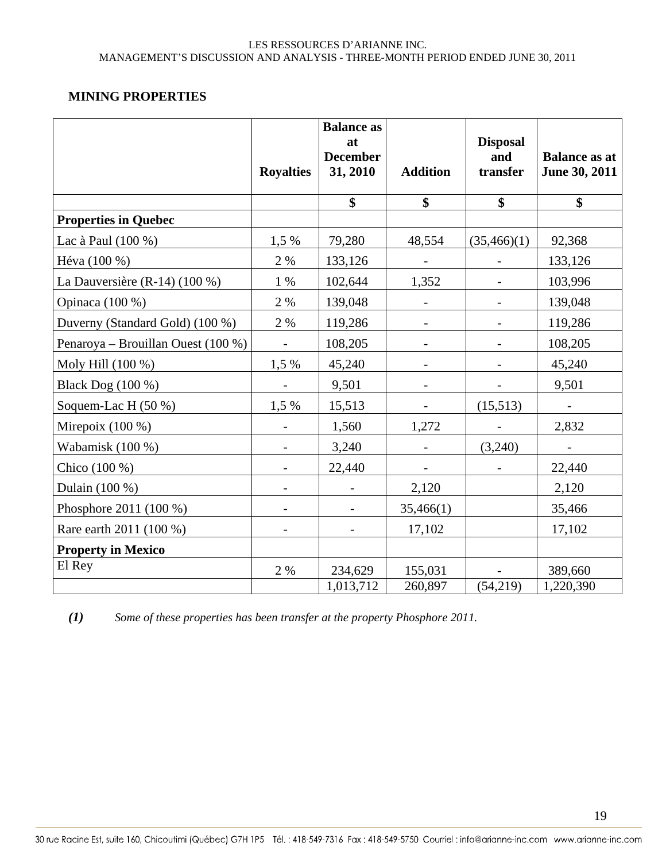### **MINING PROPERTIES**

|                                    | <b>Royalties</b>             | <b>Balance as</b><br>at<br><b>December</b><br>31, 2010 | <b>Addition</b>          | <b>Disposal</b><br>and<br>transfer | <b>Balance as at</b><br>June 30, 2011 |
|------------------------------------|------------------------------|--------------------------------------------------------|--------------------------|------------------------------------|---------------------------------------|
|                                    |                              | $\boldsymbol{\hat{\mathbf{s}}}$                        | $\boldsymbol{\$}$        | \$                                 | $\mathbf{\$}$                         |
| <b>Properties in Quebec</b>        |                              |                                                        |                          |                                    |                                       |
| Lac à Paul (100 %)                 | 1,5 %                        | 79,280                                                 | 48,554                   | (35,466)(1)                        | 92,368                                |
| Héva (100 %)                       | 2 %                          | 133,126                                                |                          |                                    | 133,126                               |
| La Dauversière (R-14) (100 %)      | 1 %                          | 102,644                                                | 1,352                    |                                    | 103,996                               |
| Opinaca (100 %)                    | 2 %                          | 139,048                                                | $\overline{\phantom{a}}$ | $\overline{\phantom{a}}$           | 139,048                               |
| Duverny (Standard Gold) (100 %)    | 2 %                          | 119,286                                                |                          |                                    | 119,286                               |
| Penaroya - Brouillan Ouest (100 %) |                              | 108,205                                                |                          |                                    | 108,205                               |
| Moly Hill (100 %)                  | 1,5 %                        | 45,240                                                 |                          |                                    | 45,240                                |
| Black Dog (100 %)                  | $\qquad \qquad -$            | 9,501                                                  | $\qquad \qquad -$        |                                    | 9,501                                 |
| Soquem-Lac H (50 %)                | 1,5 %                        | 15,513                                                 |                          | (15,513)                           | $\overline{\phantom{a}}$              |
| Mirepoix $(100\%)$                 |                              | 1,560                                                  | 1,272                    |                                    | 2,832                                 |
| Wabamisk (100 %)                   | $\qquad \qquad -$            | 3,240                                                  |                          | (3,240)                            |                                       |
| Chico (100 %)                      | $\qquad \qquad \blacksquare$ | 22,440                                                 |                          |                                    | 22,440                                |
| Dulain (100 %)                     | $\overline{\phantom{a}}$     | $\overline{\phantom{a}}$                               | 2,120                    |                                    | 2,120                                 |
| Phosphore 2011 (100 %)             |                              |                                                        | 35,466(1)                |                                    | 35,466                                |
| Rare earth 2011 (100 %)            | $\qquad \qquad -$            |                                                        | 17,102                   |                                    | 17,102                                |
| <b>Property in Mexico</b>          |                              |                                                        |                          |                                    |                                       |
| El Rey                             | 2 %                          | 234,629                                                | 155,031                  |                                    | 389,660                               |
|                                    |                              | 1,013,712                                              | 260,897                  | (54,219)                           | 1,220,390                             |

*(1) Some of these properties has been transfer at the property Phosphore 2011.*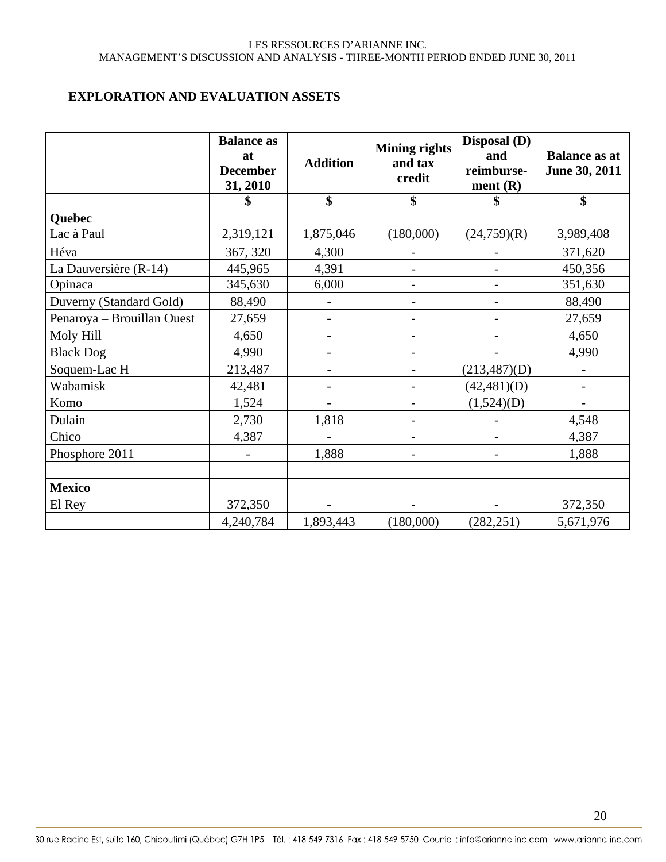### **EXPLORATION AND EVALUATION ASSETS**

|                            | <b>Balance as</b><br>at<br><b>December</b><br>31, 2010 | <b>Addition</b>          | <b>Mining rights</b><br>and tax<br>credit | Disposal (D)<br>and<br>reimburse-<br>ment $(R)$ | <b>Balance as at</b><br>June 30, 2011 |
|----------------------------|--------------------------------------------------------|--------------------------|-------------------------------------------|-------------------------------------------------|---------------------------------------|
|                            |                                                        | \$                       | \$                                        | \$                                              | \$                                    |
| Quebec                     |                                                        |                          |                                           |                                                 |                                       |
| Lac à Paul                 | 2,319,121                                              | 1,875,046                | (180,000)                                 | (24,759)(R)                                     | 3,989,408                             |
| Héva                       | 367, 320                                               | 4,300                    |                                           |                                                 | 371,620                               |
| La Dauversière (R-14)      | 445,965                                                | 4,391                    | -                                         |                                                 | 450,356                               |
| Opinaca                    | 345,630                                                | 6,000                    | $\overline{a}$                            |                                                 | 351,630                               |
| Duverny (Standard Gold)    | 88,490                                                 | $\overline{\phantom{0}}$ | $\overline{a}$                            |                                                 | 88,490                                |
| Penaroya - Brouillan Ouest | 27,659                                                 | $\overline{\phantom{0}}$ |                                           |                                                 | 27,659                                |
| Moly Hill                  | 4,650                                                  | $\overline{\phantom{a}}$ |                                           |                                                 | 4,650                                 |
| <b>Black Dog</b>           | 4,990                                                  | $\overline{a}$           |                                           |                                                 | 4,990                                 |
| Soquem-Lac H               | 213,487                                                |                          |                                           | (213,487)(D)                                    |                                       |
| Wabamisk                   | 42,481                                                 | -                        | $\overline{a}$                            | (42, 481)(D)                                    | $\overline{\phantom{a}}$              |
| Komo                       | 1,524                                                  | $\overline{\phantom{0}}$ |                                           | (1,524)(D)                                      |                                       |
| Dulain                     | 2,730                                                  | 1,818                    |                                           |                                                 | 4,548                                 |
| Chico                      | 4,387                                                  |                          |                                           |                                                 | 4,387                                 |
| Phosphore 2011             |                                                        | 1,888                    |                                           |                                                 | 1,888                                 |
|                            |                                                        |                          |                                           |                                                 |                                       |
| <b>Mexico</b>              |                                                        |                          |                                           |                                                 |                                       |
| El Rey                     | 372,350                                                | $\overline{\phantom{a}}$ |                                           |                                                 | 372,350                               |
|                            | 4,240,784                                              | 1,893,443                | (180,000)                                 | (282, 251)                                      | 5,671,976                             |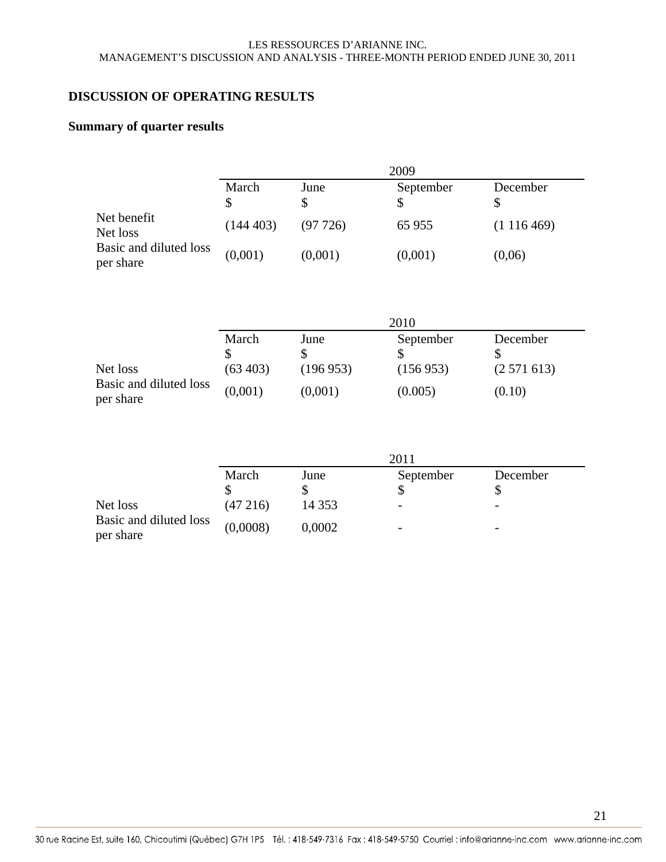### **DISCUSSION OF OPERATING RESULTS**

### **Summary of quarter results**

|                                     | 2009        |         |           |           |  |  |
|-------------------------------------|-------------|---------|-----------|-----------|--|--|
|                                     | March<br>\$ | June    | September | December  |  |  |
| Net benefit<br>Net loss             | (144403)    | (97726) | 65 955    | (1116469) |  |  |
| Basic and diluted loss<br>per share | (0,001)     | (0,001) | (0,001)   | (0,06)    |  |  |

|                                     | 2010      |          |           |           |  |
|-------------------------------------|-----------|----------|-----------|-----------|--|
|                                     | March     | June     | September | December  |  |
| Net loss                            | (63, 403) | (196953) | (156953)  | (2571613) |  |
| Basic and diluted loss<br>per share | (0,001)   | (0,001)  | (0.005)   | (0.10)    |  |

|                                     | 2011     |          |                          |          |
|-------------------------------------|----------|----------|--------------------------|----------|
|                                     | March    | June     | September                | December |
|                                     |          |          |                          |          |
| Net loss                            | (47216)  | 14 3 5 3 | $\overline{\phantom{0}}$ | -        |
| Basic and diluted loss<br>per share | (0,0008) | 0,0002   | $\overline{\phantom{0}}$ | -        |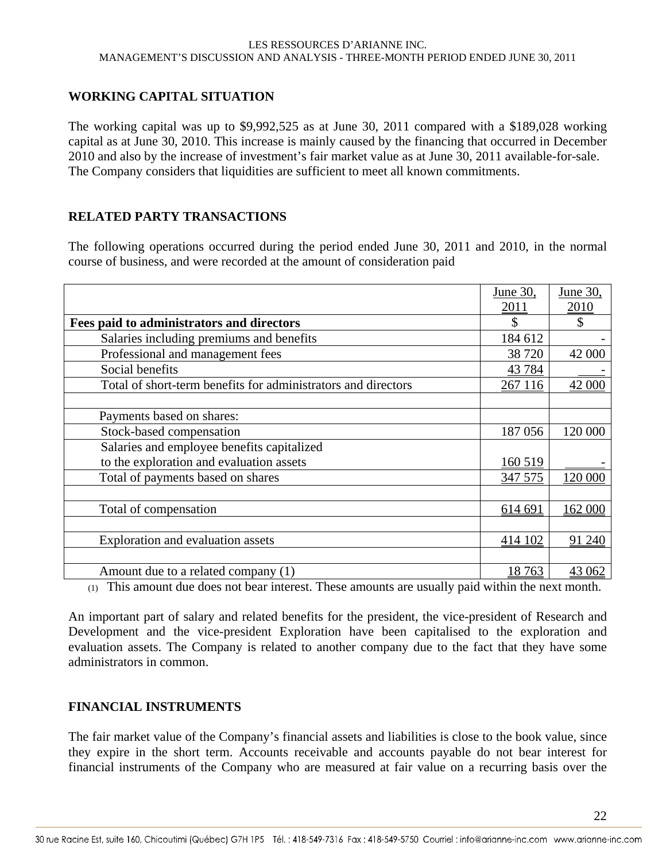### **WORKING CAPITAL SITUATION**

The working capital was up to \$9,992,525 as at June 30, 2011 compared with a \$189,028 working capital as at June 30, 2010. This increase is mainly caused by the financing that occurred in December 2010 and also by the increase of investment's fair market value as at June 30, 2011 available-for-sale. The Company considers that liquidities are sufficient to meet all known commitments.

### **RELATED PARTY TRANSACTIONS**

The following operations occurred during the period ended June 30, 2011 and 2010, in the normal course of business, and were recorded at the amount of consideration paid

|                                                               | June 30, | June 30,      |
|---------------------------------------------------------------|----------|---------------|
|                                                               | 2011     | 2010          |
| Fees paid to administrators and directors                     |          | $\mathcal{S}$ |
| Salaries including premiums and benefits                      | 184 612  |               |
| Professional and management fees                              | 38 720   | 42 000        |
| Social benefits                                               | 43 7 84  |               |
| Total of short-term benefits for administrators and directors |          | 42 000        |
|                                                               |          |               |
| Payments based on shares:                                     |          |               |
| Stock-based compensation                                      |          | 120 000       |
| Salaries and employee benefits capitalized                    |          |               |
| to the exploration and evaluation assets                      |          |               |
| Total of payments based on shares                             |          | 120 000       |
|                                                               |          |               |
| Total of compensation                                         |          | 162 000       |
|                                                               |          |               |
| Exploration and evaluation assets                             |          | 91 240        |
|                                                               |          |               |
| Amount due to a related company (1)                           | 18 763   | 43 062        |

(1) This amount due does not bear interest. These amounts are usually paid within the next month.

An important part of salary and related benefits for the president, the vice-president of Research and Development and the vice-president Exploration have been capitalised to the exploration and evaluation assets. The Company is related to another company due to the fact that they have some administrators in common.

### **FINANCIAL INSTRUMENTS**

The fair market value of the Company's financial assets and liabilities is close to the book value, since they expire in the short term. Accounts receivable and accounts payable do not bear interest for financial instruments of the Company who are measured at fair value on a recurring basis over the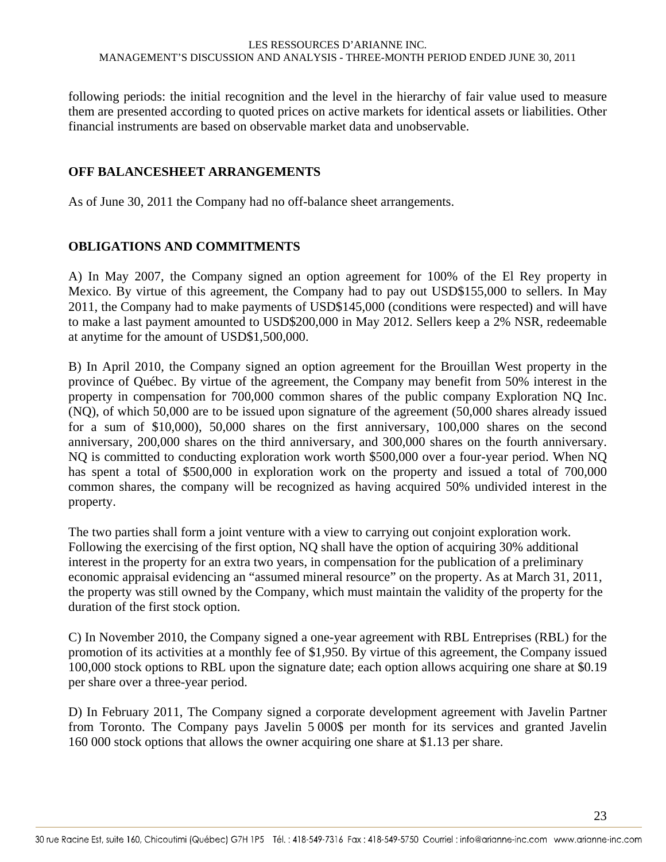following periods: the initial recognition and the level in the hierarchy of fair value used to measure them are presented according to quoted prices on active markets for identical assets or liabilities. Other financial instruments are based on observable market data and unobservable.

### **OFF BALANCESHEET ARRANGEMENTS**

As of June 30, 2011 the Company had no off-balance sheet arrangements.

### **OBLIGATIONS AND COMMITMENTS**

A) In May 2007, the Company signed an option agreement for 100% of the El Rey property in Mexico. By virtue of this agreement, the Company had to pay out USD\$155,000 to sellers. In May 2011, the Company had to make payments of USD\$145,000 (conditions were respected) and will have to make a last payment amounted to USD\$200,000 in May 2012. Sellers keep a 2% NSR, redeemable at anytime for the amount of USD\$1,500,000.

B) In April 2010, the Company signed an option agreement for the Brouillan West property in the province of Québec. By virtue of the agreement, the Company may benefit from 50% interest in the property in compensation for 700,000 common shares of the public company Exploration NQ Inc. (NQ), of which 50,000 are to be issued upon signature of the agreement (50,000 shares already issued for a sum of \$10,000), 50,000 shares on the first anniversary, 100,000 shares on the second anniversary, 200,000 shares on the third anniversary, and 300,000 shares on the fourth anniversary. NQ is committed to conducting exploration work worth \$500,000 over a four-year period. When NQ has spent a total of \$500,000 in exploration work on the property and issued a total of 700,000 common shares, the company will be recognized as having acquired 50% undivided interest in the property.

The two parties shall form a joint venture with a view to carrying out conjoint exploration work. Following the exercising of the first option, NQ shall have the option of acquiring 30% additional interest in the property for an extra two years, in compensation for the publication of a preliminary economic appraisal evidencing an "assumed mineral resource" on the property. As at March 31, 2011, the property was still owned by the Company, which must maintain the validity of the property for the duration of the first stock option.

C) In November 2010, the Company signed a one-year agreement with RBL Entreprises (RBL) for the promotion of its activities at a monthly fee of \$1,950. By virtue of this agreement, the Company issued 100,000 stock options to RBL upon the signature date; each option allows acquiring one share at \$0.19 per share over a three-year period.

D) In February 2011, The Company signed a corporate development agreement with Javelin Partner from Toronto. The Company pays Javelin 5 000\$ per month for its services and granted Javelin 160 000 stock options that allows the owner acquiring one share at \$1.13 per share.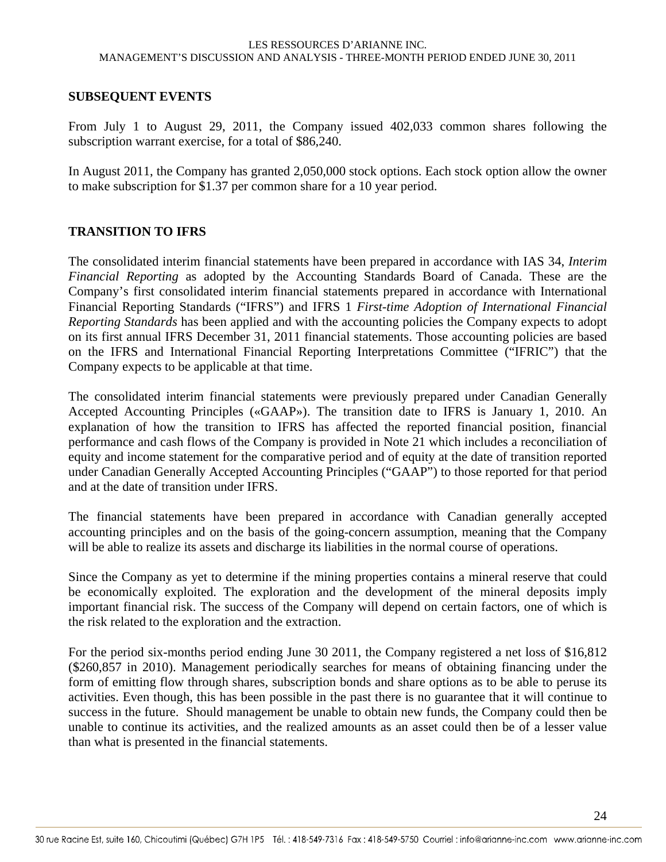#### **SUBSEQUENT EVENTS**

From July 1 to August 29, 2011, the Company issued 402,033 common shares following the subscription warrant exercise, for a total of \$86,240.

In August 2011, the Company has granted 2,050,000 stock options. Each stock option allow the owner to make subscription for \$1.37 per common share for a 10 year period.

#### **TRANSITION TO IFRS**

The consolidated interim financial statements have been prepared in accordance with IAS 34, *Interim Financial Reporting* as adopted by the Accounting Standards Board of Canada. These are the Company's first consolidated interim financial statements prepared in accordance with International Financial Reporting Standards ("IFRS") and IFRS 1 *First-time Adoption of International Financial Reporting Standards* has been applied and with the accounting policies the Company expects to adopt on its first annual IFRS December 31, 2011 financial statements. Those accounting policies are based on the IFRS and International Financial Reporting Interpretations Committee ("IFRIC") that the Company expects to be applicable at that time.

The consolidated interim financial statements were previously prepared under Canadian Generally Accepted Accounting Principles («GAAP»). The transition date to IFRS is January 1, 2010. An explanation of how the transition to IFRS has affected the reported financial position, financial performance and cash flows of the Company is provided in Note 21 which includes a reconciliation of equity and income statement for the comparative period and of equity at the date of transition reported under Canadian Generally Accepted Accounting Principles ("GAAP") to those reported for that period and at the date of transition under IFRS.

The financial statements have been prepared in accordance with Canadian generally accepted accounting principles and on the basis of the going-concern assumption, meaning that the Company will be able to realize its assets and discharge its liabilities in the normal course of operations.

Since the Company as yet to determine if the mining properties contains a mineral reserve that could be economically exploited. The exploration and the development of the mineral deposits imply important financial risk. The success of the Company will depend on certain factors, one of which is the risk related to the exploration and the extraction.

For the period six-months period ending June 30 2011, the Company registered a net loss of \$16,812 (\$260,857 in 2010). Management periodically searches for means of obtaining financing under the form of emitting flow through shares, subscription bonds and share options as to be able to peruse its activities. Even though, this has been possible in the past there is no guarantee that it will continue to success in the future. Should management be unable to obtain new funds, the Company could then be unable to continue its activities, and the realized amounts as an asset could then be of a lesser value than what is presented in the financial statements.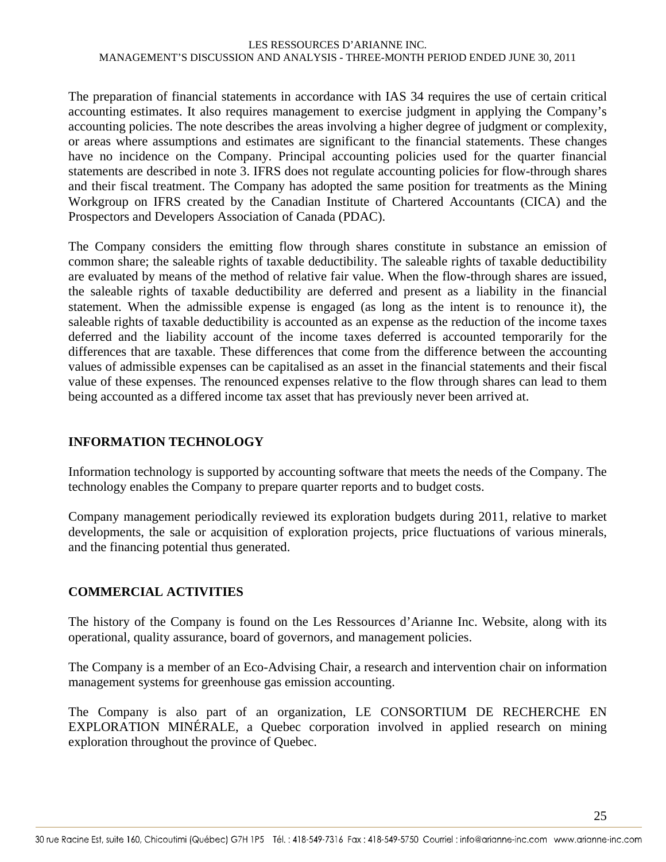The preparation of financial statements in accordance with IAS 34 requires the use of certain critical accounting estimates. It also requires management to exercise judgment in applying the Company's accounting policies. The note describes the areas involving a higher degree of judgment or complexity, or areas where assumptions and estimates are significant to the financial statements. These changes have no incidence on the Company. Principal accounting policies used for the quarter financial statements are described in note 3. IFRS does not regulate accounting policies for flow-through shares and their fiscal treatment. The Company has adopted the same position for treatments as the Mining Workgroup on IFRS created by the Canadian Institute of Chartered Accountants (CICA) and the Prospectors and Developers Association of Canada (PDAC).

The Company considers the emitting flow through shares constitute in substance an emission of common share; the saleable rights of taxable deductibility. The saleable rights of taxable deductibility are evaluated by means of the method of relative fair value. When the flow-through shares are issued, the saleable rights of taxable deductibility are deferred and present as a liability in the financial statement. When the admissible expense is engaged (as long as the intent is to renounce it), the saleable rights of taxable deductibility is accounted as an expense as the reduction of the income taxes deferred and the liability account of the income taxes deferred is accounted temporarily for the differences that are taxable. These differences that come from the difference between the accounting values of admissible expenses can be capitalised as an asset in the financial statements and their fiscal value of these expenses. The renounced expenses relative to the flow through shares can lead to them being accounted as a differed income tax asset that has previously never been arrived at.

### **INFORMATION TECHNOLOGY**

Information technology is supported by accounting software that meets the needs of the Company. The technology enables the Company to prepare quarter reports and to budget costs.

Company management periodically reviewed its exploration budgets during 2011, relative to market developments, the sale or acquisition of exploration projects, price fluctuations of various minerals, and the financing potential thus generated.

### **COMMERCIAL ACTIVITIES**

The history of the Company is found on the Les Ressources d'Arianne Inc. Website, along with its operational, quality assurance, board of governors, and management policies.

The Company is a member of an Eco-Advising Chair, a research and intervention chair on information management systems for greenhouse gas emission accounting.

The Company is also part of an organization, LE CONSORTIUM DE RECHERCHE EN EXPLORATION MINÉRALE, a Quebec corporation involved in applied research on mining exploration throughout the province of Quebec.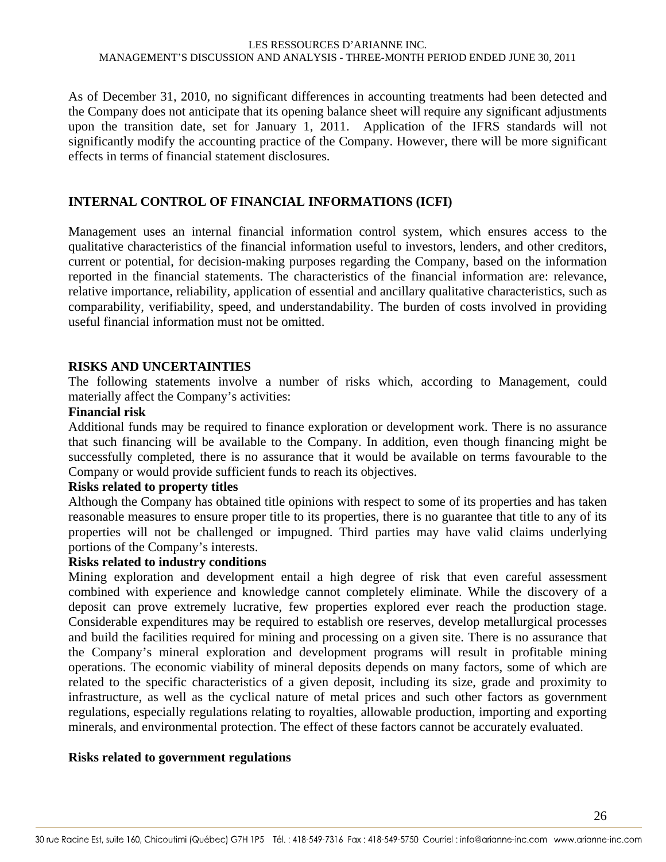As of December 31, 2010, no significant differences in accounting treatments had been detected and the Company does not anticipate that its opening balance sheet will require any significant adjustments upon the transition date, set for January 1, 2011. Application of the IFRS standards will not significantly modify the accounting practice of the Company. However, there will be more significant effects in terms of financial statement disclosures.

### **INTERNAL CONTROL OF FINANCIAL INFORMATIONS (ICFI)**

Management uses an internal financial information control system, which ensures access to the qualitative characteristics of the financial information useful to investors, lenders, and other creditors, current or potential, for decision-making purposes regarding the Company, based on the information reported in the financial statements. The characteristics of the financial information are: relevance, relative importance, reliability, application of essential and ancillary qualitative characteristics, such as comparability, verifiability, speed, and understandability. The burden of costs involved in providing useful financial information must not be omitted.

#### **RISKS AND UNCERTAINTIES**

The following statements involve a number of risks which, according to Management, could materially affect the Company's activities:

#### **Financial risk**

Additional funds may be required to finance exploration or development work. There is no assurance that such financing will be available to the Company. In addition, even though financing might be successfully completed, there is no assurance that it would be available on terms favourable to the Company or would provide sufficient funds to reach its objectives.

#### **Risks related to property titles**

Although the Company has obtained title opinions with respect to some of its properties and has taken reasonable measures to ensure proper title to its properties, there is no guarantee that title to any of its properties will not be challenged or impugned. Third parties may have valid claims underlying portions of the Company's interests.

#### **Risks related to industry conditions**

Mining exploration and development entail a high degree of risk that even careful assessment combined with experience and knowledge cannot completely eliminate. While the discovery of a deposit can prove extremely lucrative, few properties explored ever reach the production stage. Considerable expenditures may be required to establish ore reserves, develop metallurgical processes and build the facilities required for mining and processing on a given site. There is no assurance that the Company's mineral exploration and development programs will result in profitable mining operations. The economic viability of mineral deposits depends on many factors, some of which are related to the specific characteristics of a given deposit, including its size, grade and proximity to infrastructure, as well as the cyclical nature of metal prices and such other factors as government regulations, especially regulations relating to royalties, allowable production, importing and exporting minerals, and environmental protection. The effect of these factors cannot be accurately evaluated.

#### **Risks related to government regulations**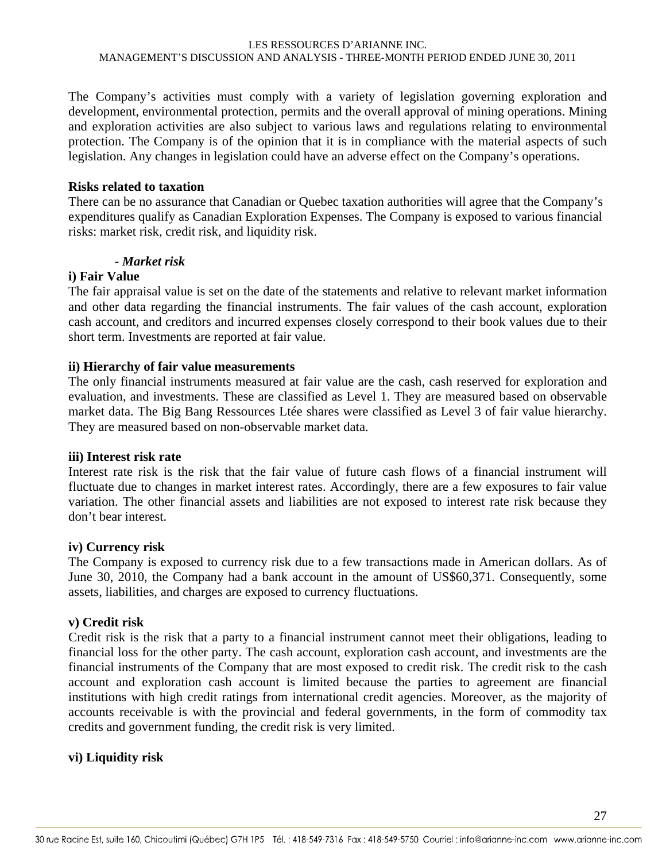The Company's activities must comply with a variety of legislation governing exploration and development, environmental protection, permits and the overall approval of mining operations. Mining and exploration activities are also subject to various laws and regulations relating to environmental protection. The Company is of the opinion that it is in compliance with the material aspects of such legislation. Any changes in legislation could have an adverse effect on the Company's operations.

#### **Risks related to taxation**

There can be no assurance that Canadian or Quebec taxation authorities will agree that the Company's expenditures qualify as Canadian Exploration Expenses. The Company is exposed to various financial risks: market risk, credit risk, and liquidity risk.

### *- Market risk*

### **i) Fair Value**

The fair appraisal value is set on the date of the statements and relative to relevant market information and other data regarding the financial instruments. The fair values of the cash account, exploration cash account, and creditors and incurred expenses closely correspond to their book values due to their short term. Investments are reported at fair value.

#### **ii) Hierarchy of fair value measurements**

The only financial instruments measured at fair value are the cash, cash reserved for exploration and evaluation, and investments. These are classified as Level 1. They are measured based on observable market data. The Big Bang Ressources Ltée shares were classified as Level 3 of fair value hierarchy. They are measured based on non-observable market data.

#### **iii) Interest risk rate**

Interest rate risk is the risk that the fair value of future cash flows of a financial instrument will fluctuate due to changes in market interest rates. Accordingly, there are a few exposures to fair value variation. The other financial assets and liabilities are not exposed to interest rate risk because they don't bear interest.

#### **iv) Currency risk**

The Company is exposed to currency risk due to a few transactions made in American dollars. As of June 30, 2010, the Company had a bank account in the amount of US\$60,371. Consequently, some assets, liabilities, and charges are exposed to currency fluctuations.

#### **v) Credit risk**

Credit risk is the risk that a party to a financial instrument cannot meet their obligations, leading to financial loss for the other party. The cash account, exploration cash account, and investments are the financial instruments of the Company that are most exposed to credit risk. The credit risk to the cash account and exploration cash account is limited because the parties to agreement are financial institutions with high credit ratings from international credit agencies. Moreover, as the majority of accounts receivable is with the provincial and federal governments, in the form of commodity tax credits and government funding, the credit risk is very limited.

### **vi) Liquidity risk**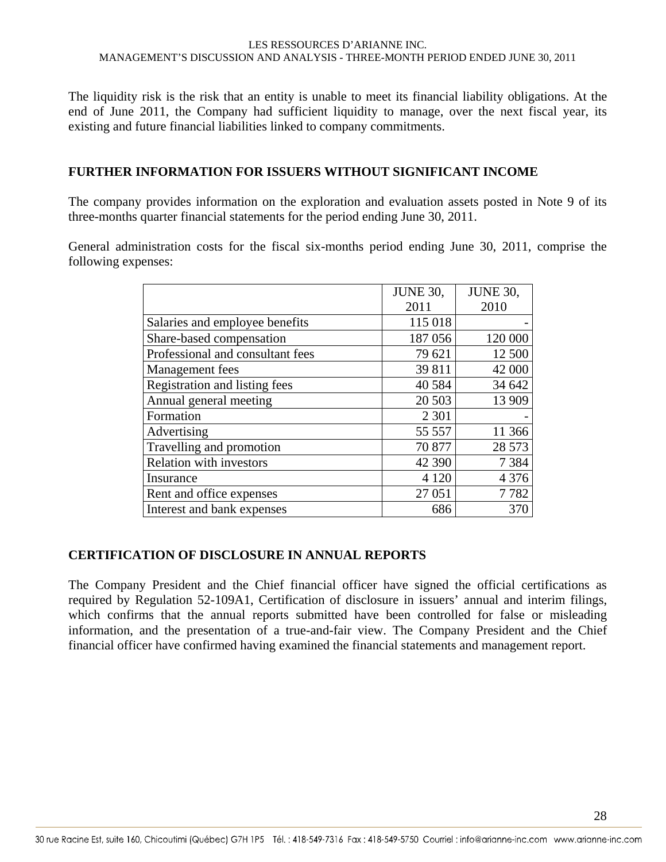The liquidity risk is the risk that an entity is unable to meet its financial liability obligations. At the end of June 2011, the Company had sufficient liquidity to manage, over the next fiscal year, its existing and future financial liabilities linked to company commitments.

### **FURTHER INFORMATION FOR ISSUERS WITHOUT SIGNIFICANT INCOME**

The company provides information on the exploration and evaluation assets posted in Note 9 of its three-months quarter financial statements for the period ending June 30, 2011.

General administration costs for the fiscal six-months period ending June 30, 2011, comprise the following expenses:

|                                  | <b>JUNE 30,</b> | <b>JUNE 30,</b> |
|----------------------------------|-----------------|-----------------|
|                                  | 2011            | 2010            |
| Salaries and employee benefits   | 115 018         |                 |
| Share-based compensation         | 187 056         | 120 000         |
| Professional and consultant fees | 79 621          | 12 500          |
| Management fees                  | 39 811          | 42 000          |
| Registration and listing fees    | 40 5 84         | 34 642          |
| Annual general meeting           | 20 503          | 13 909          |
| Formation                        | 2 3 0 1         |                 |
| Advertising                      | 55 557          | 11 366          |
| Travelling and promotion         | 70 877          | 28 573          |
| <b>Relation with investors</b>   | 42 390          | 7 3 8 4         |
| Insurance                        | 4 1 2 0         | 4 3 7 6         |
| Rent and office expenses         | 27 051          | 7782            |
| Interest and bank expenses       | 686             | 370             |

### **CERTIFICATION OF DISCLOSURE IN ANNUAL REPORTS**

The Company President and the Chief financial officer have signed the official certifications as required by Regulation 52-109A1, Certification of disclosure in issuers' annual and interim filings, which confirms that the annual reports submitted have been controlled for false or misleading information, and the presentation of a true-and-fair view. The Company President and the Chief financial officer have confirmed having examined the financial statements and management report.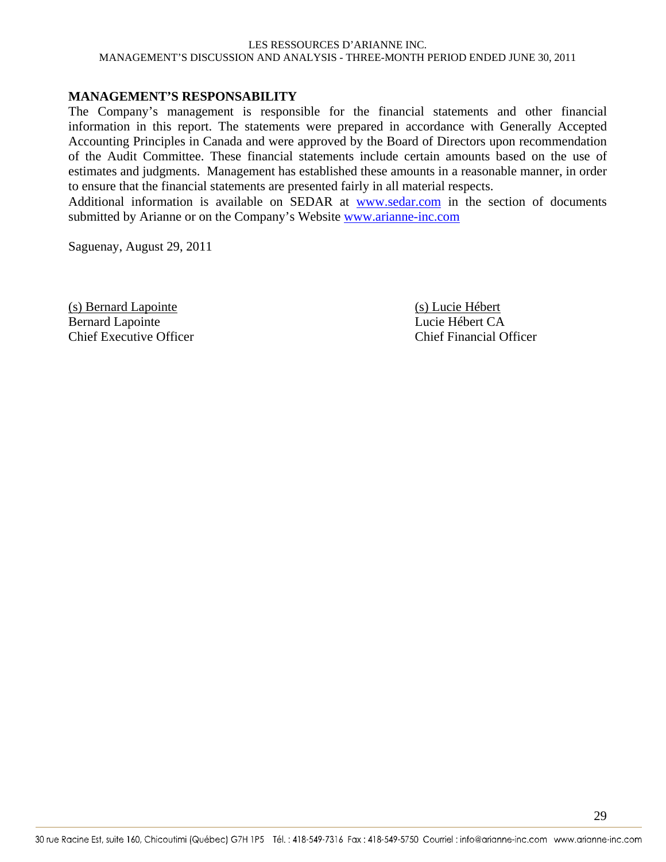#### **MANAGEMENT'S RESPONSABILITY**

The Company's management is responsible for the financial statements and other financial information in this report. The statements were prepared in accordance with Generally Accepted Accounting Principles in Canada and were approved by the Board of Directors upon recommendation of the Audit Committee. These financial statements include certain amounts based on the use of estimates and judgments. Management has established these amounts in a reasonable manner, in order to ensure that the financial statements are presented fairly in all material respects.

Additional information is available on SEDAR at www.sedar.com in the section of documents submitted by Arianne or on the Company's Website www.arianne-inc.com

Saguenay, August 29, 2011

(s) Bernard Lapointe (s) Lucie Hébert<br>
Rernard Lapointe (s) Lucie Hébert CA Bernard Lapointe Chief Executive Officer Chief Financial Officer